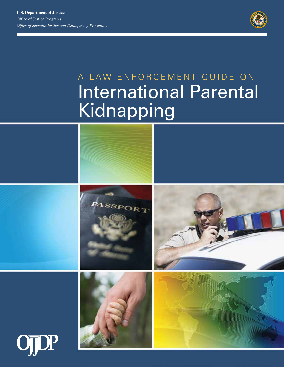**U.S. Department of Justice**  Office of Justice Programs *Office of Juvenile Justice and Delinquency Prevention* 



# A LAW ENFORCEMENT GUIDE ON International Parental Kidnapping

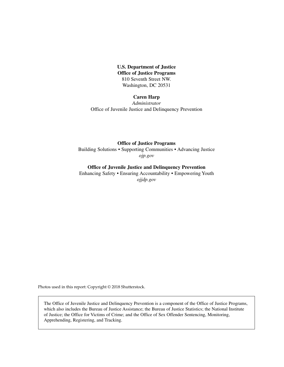**U.S. Department of Justice Office of Justice Programs**  810 Seventh Street NW. Washington, DC 20531

#### **Caren Harp**

*Administrator*  Office of Juvenile Justice and Delinquency Prevention

#### **Office of Justice Programs**

Building Solutions • Supporting Communities • Advancing Justice *[ojp.gov](http://ojp.gov)* 

#### **Office of Juvenile Justice and Delinquency Prevention**

Enhancing Safety • Ensuring Accountability • Empowering Youth *[ojjdp.gov](http://www.ojjdp.gov)* 

Photos used in this report: Copyright © 2018 Shutterstock.

The Office of Juvenile Justice and Delinquency Prevention is a component of the Office of Justice Programs, which also includes the Bureau of Justice Assistance; the Bureau of Justice Statistics; the National Institute of Justice; the Office for Victims of Crime; and the Office of Sex Offender Sentencing, Monitoring, Apprehending, Registering, and Tracking.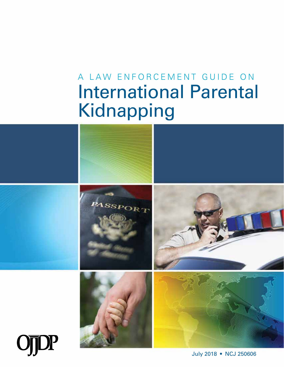# A LAW ENFORCEMENT GUIDE ON **International Parental** Kidnapping

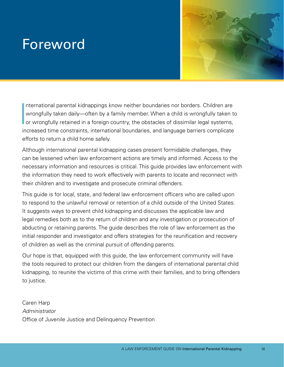## <span id="page-4-0"></span>Foreword



 $\begin{bmatrix} 1 \\ 1 \\ 0 \\ 0 \end{bmatrix}$ nternational parental kidnappings know neither boundaries nor borders. Children are wrongfully taken daily—often by a family member. When a child is wrongfully taken to or wrongfully retained in a foreign country, the obstacles of dissimilar legal systems, increased time constraints, international boundaries, and language barriers complicate efforts to return a child home safely.

Although international parental kidnapping cases present formidable challenges, they can be lessened when law enforcement actions are timely and informed. Access to the necessary information and resources is critical. This guide provides law enforcement with the information they need to work effectively with parents to locate and reconnect with their children and to investigate and prosecute criminal offenders.

This guide is for local, state, and federal law enforcement officers who are called upon to respond to the unlawful removal or retention of a child outside of the United States. It suggests ways to prevent child kidnapping and discusses the applicable law and legal remedies both as to the return of children and any investigation or prosecution of abducting or retaining parents. The guide describes the role of law enforcement as the initial responder and investigator and offers strategies for the reunification and recovery of children as well as the criminal pursuit of offending parents.

Our hope is that, equipped with this guide, the law enforcement community will have the tools required to protect our children from the dangers of international parental child kidnapping, to reunite the victims of this crime with their families, and to bring offenders to justice.

Caren Harp *Administrator*  Office of Juvenile Justice and Delinquency Prevention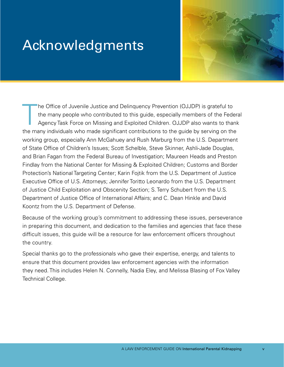## <span id="page-6-0"></span>Acknowledgments



T he Office of Juvenile Justice and Delinquency Prevention (OJJDP) is grateful to the many people who contributed to this guide, especially members of the Federal Agency Task Force on Missing and Exploited Children. OJJDP also wants to thank the many individuals who made significant contributions to the guide by serving on the working group, especially Ann McGahuey and Rush Marburg from the U.S. Department of State Office of Children's Issues; Scott Schelble, Steve Skinner, Ashli-Jade Douglas, and Brian Fagan from the Federal Bureau of Investigation; Maureen Heads and Preston Findlay from the National Center for Missing & Exploited Children; Customs and Border Protection's National Targeting Center; Karin Fojtik from the U.S. Department of Justice Executive Office of U.S. Attorneys; Jennifer Toritto Leonardo from the U.S. Department of Justice Child Exploitation and Obscenity Section; S. Terry Schubert from the U.S. Department of Justice Office of International Affairs; and C. Dean Hinkle and David Koontz from the U.S. Department of Defense.

Because of the working group's commitment to addressing these issues, perseverance in preparing this document, and dedication to the families and agencies that face these difficult issues, this guide will be a resource for law enforcement officers throughout the country.

Special thanks go to the professionals who gave their expertise, energy, and talents to ensure that this document provides law enforcement agencies with the information they need. This includes Helen N. Connelly, Nadia Eley, and Melissa Blasing of Fox Valley Technical College.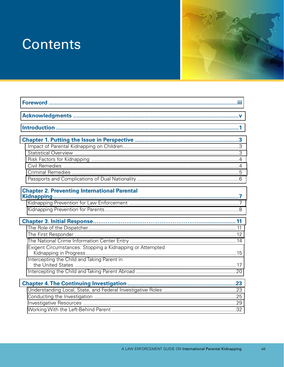## **Contents**



| <b>Chapter 2. Preventing International Parental</b>       |  |
|-----------------------------------------------------------|--|
|                                                           |  |
|                                                           |  |
|                                                           |  |
|                                                           |  |
|                                                           |  |
|                                                           |  |
|                                                           |  |
| Exigent Circumstances: Stopping a Kidnapping or Attempted |  |
| Intercepting the Child and Taking Parent in               |  |
|                                                           |  |
|                                                           |  |
|                                                           |  |
|                                                           |  |
|                                                           |  |
|                                                           |  |
|                                                           |  |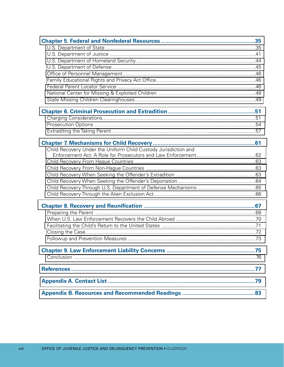| Child Recovery Under the Uniform Child Custody Jurisdiction and |  |
|-----------------------------------------------------------------|--|
|                                                                 |  |
|                                                                 |  |
|                                                                 |  |
|                                                                 |  |
|                                                                 |  |
|                                                                 |  |
|                                                                 |  |
|                                                                 |  |
|                                                                 |  |
|                                                                 |  |
|                                                                 |  |
|                                                                 |  |
|                                                                 |  |
|                                                                 |  |
|                                                                 |  |
|                                                                 |  |
|                                                                 |  |
|                                                                 |  |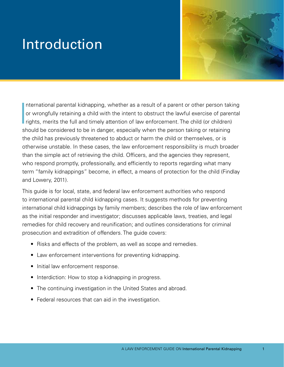## <span id="page-10-0"></span>Introduction



 $\begin{bmatrix} 1 \\ 1 \\ 1 \\ 1 \end{bmatrix}$ nternational parental kidnapping, whether as a result of a parent or other person taking or wrongfully retaining a child with the intent to obstruct the lawful exercise of parental rights, merits the full and timely attention of law enforcement. The child (or children) should be considered to be in danger, especially when the person taking or retaining the child has previously threatened to abduct or harm the child or themselves, or is otherwise unstable. In these cases, the law enforcement responsibility is much broader than the simple act of retrieving the child. Officers, and the agencies they represent, who respond promptly, professionally, and efficiently to reports regarding what many term "family kidnappings" become, in effect, a means of protection for the child (Findlay and Lowery, 2011).

This guide is for local, state, and federal law enforcement authorities who respond to international parental child kidnapping cases. It suggests methods for preventing international child kidnappings by family members; describes the role of law enforcement as the initial responder and investigator; discusses applicable laws, treaties, and legal remedies for child recovery and reunification; and outlines considerations for criminal prosecution and extradition of offenders. The guide covers:

- Risks and effects of the problem, as well as scope and remedies.
- Law enforcement interventions for preventing kidnapping.
- Initial law enforcement response.
- Interdiction: How to stop a kidnapping in progress.
- The continuing investigation in the United States and abroad.
- Federal resources that can aid in the investigation.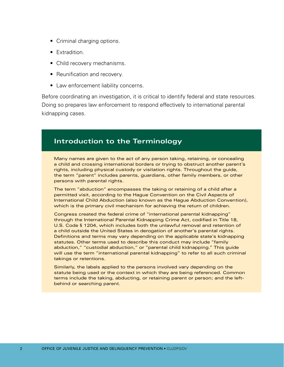- Criminal charging options.
- Extradition.
- Child recovery mechanisms.
- Reunification and recovery.
- Law enforcement liability concerns.

Before coordinating an investigation, it is critical to identify federal and state resources. Doing so prepares law enforcement to respond effectively to international parental kidnapping cases.

### **Introduction to the Terminology**

Many names are given to the act of any person taking, retaining, or concealing a child and crossing international borders or trying to obstruct another parent's rights, including physical custody or visitation rights. Throughout the guide, the term "parent" includes parents, guardians, other family members, or other persons with parental rights.

The term "abduction" encompasses the taking or retaining of a child after a permitted visit, according to the Hague Convention on the Civil Aspects of International Child Abduction (also known as the Hague Abduction Convention), which is the primary civil mechanism for achieving the return of children.

Congress created the federal crime of "international parental kidnapping" through the International Parental Kidnapping Crime Act, codified in Title 18, U.S. Code § 1204, which includes both the unlawful removal and retention of a child outside the United States in derogation of another's parental rights. Definitions and terms may vary depending on the applicable state's kidnapping statutes. Other terms used to describe this conduct may include "family abduction," "custodial abduction," or "parental child kidnapping." This guide will use the term "international parental kidnapping" to refer to all such criminal takings or retentions.

Similarly, the labels applied to the persons involved vary depending on the statute being used or the context in which they are being referenced. Common terms include the taking, abducting, or retaining parent or person; and the leftbehind or searching parent.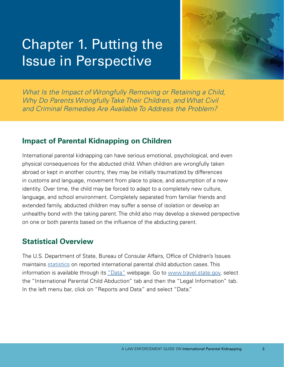## <span id="page-12-0"></span>Chapter 1. Putting the Issue in Perspective



*What Is the Impact of Wrongfully Removing or Retaining a Child, Why Do Parents Wrongfully Take Their Children, and What Civil and Criminal Remedies Are Available To Address the Problem?* 

## **Impact of Parental Kidnapping on Children**

International parental kidnapping can have serious emotional, psychological, and even physical consequences for the abducted child. When children are wrongfully taken abroad or kept in another country, they may be initially traumatized by differences in customs and language, movement from place to place, and assumption of a new identity. Over time, the child may be forced to adapt to a completely new culture, language, and school environment. Completely separated from familiar friends and extended family, abducted children may suffer a sense of isolation or develop an unhealthy bond with the taking parent. The child also may develop a skewed perspective on one or both parents based on the influence of the abducting parent.

## **Statistical Overview**

The U.S. Department of State, Bureau of Consular Affairs, Office of Children's Issues maintains [statistics](https://travel.state.gov/content/travel/en/International-Parental-Child-Abduction/for-providers/legal-reports-and-data.html) on reported international parental child abduction cases. This information is available through its ["Data"](https://travel.state.gov/content/travel/en/International-Parental-Child-Abduction/for-providers/legal-reports-and-data/data.html) webpage. Go to [www.travel.state.gov](http://www.travel.state.gov), select the "International Parental Child Abduction" tab and then the "Legal Information" tab. In the left menu bar, click on "Reports and Data" and select "Data."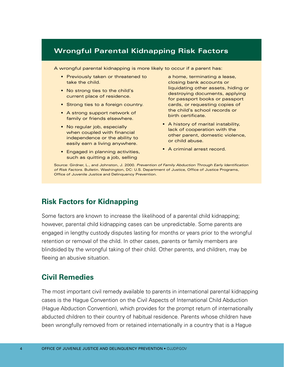## <span id="page-13-0"></span>**Wrongful Parental Kidnapping Risk Factors**

A wrongful parental kidnapping is more likely to occur if a parent has:

- Previously taken or threatened to take the child.
- No strong ties to the child's current place of residence.
- Strong ties to a foreign country.
- A strong support network of family or friends elsewhere.
- No regular job, especially when coupled with financial independence or the ability to easily earn a living anywhere.
- Engaged in planning activities, such as quitting a job, selling

a home, terminating a lease, closing bank accounts or liquidating other assets, hiding or destroying documents, applying for passport books or passport cards, or requesting copies of the child's school records or birth certificate.

- • A history of marital instability, lack of cooperation with the other parent, domestic violence, or child abuse.
- A criminal arrest record.

Source: Girdner, L., and Johnston, J. 2000. *Prevention of Family Abduction Through Early Identification of Risk Factors.* Bulletin. Washington, DC: U.S. Department of Justice, Office of Justice Programs, Office of Juvenile Justice and Delinquency Prevention.

## **Risk Factors for Kidnapping**

Some factors are known to increase the likelihood of a parental child kidnapping; however, parental child kidnapping cases can be unpredictable. Some parents are engaged in lengthy custody disputes lasting for months or years prior to the wrongful retention or removal of the child. In other cases, parents or family members are blindsided by the wrongful taking of their child. Other parents, and children, may be fleeing an abusive situation.

## **Civil Remedies**

The most important civil remedy available to parents in international parental kidnapping cases is the Hague Convention on the Civil Aspects of International Child Abduction (Hague Abduction Convention), which provides for the prompt return of internationally abducted children to their country of habitual residence. Parents whose children have been wrongfully removed from or retained internationally in a country that is a Hague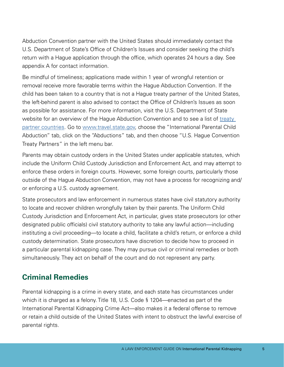<span id="page-14-0"></span>Abduction Convention partner with the United States should immediately contact the U.S. Department of State's Office of Children's Issues and consider seeking the child's return with a Hague application through the office, which operates 24 hours a day. See appendix A for contact information.

Be mindful of timeliness; applications made within 1 year of wrongful retention or removal receive more favorable terms within the Hague Abduction Convention. If the child has been taken to a country that is not a Hague treaty partner of the United States, the left-behind parent is also advised to contact the Office of Children's Issues as soon as possible for assistance. For more information, visit the U.S. Department of State website for an overview of the Hague Abduction Convention and to see a list of treaty [partner countries.](https://travel.state.gov/content/travel/en/International-Parental-Child-Abduction/abductions/hague-abduction-country-list.html) Go to [www.travel.state.gov](http://www.travel.state.gov), choose the "International Parental Child Abduction" tab, click on the "Abductions" tab, and then choose "U.S. Hague Convention Treaty Partners" in the left menu bar.

Parents may obtain custody orders in the United States under applicable statutes, which include the Uniform Child Custody Jurisdiction and Enforcement Act, and may attempt to enforce these orders in foreign courts. However, some foreign courts, particularly those outside of the Hague Abduction Convention, may not have a process for recognizing and/ or enforcing a U.S. custody agreement.

State prosecutors and law enforcement in numerous states have civil statutory authority to locate and recover children wrongfully taken by their parents. The Uniform Child Custody Jurisdiction and Enforcement Act, in particular, gives state prosecutors (or other designated public officials) civil statutory authority to take any lawful action—including instituting a civil proceeding—to locate a child, facilitate a child's return, or enforce a child custody determination. State prosecutors have discretion to decide how to proceed in a particular parental kidnapping case. They may pursue civil or criminal remedies or both simultaneously. They act on behalf of the court and do not represent any party.

## **Criminal Remedies**

Parental kidnapping is a crime in every state, and each state has circumstances under which it is charged as a felony. Title 18, U.S. Code § 1204—enacted as part of the International Parental Kidnapping Crime Act—also makes it a federal offense to remove or retain a child outside of the United States with intent to obstruct the lawful exercise of parental rights.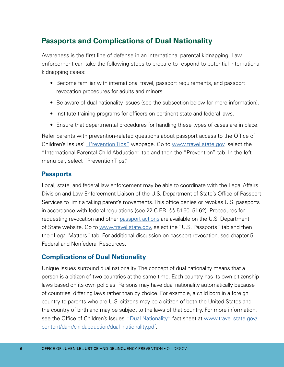## <span id="page-15-0"></span>**Passports and Complications of Dual Nationality**

Awareness is the first line of defense in an international parental kidnapping. Law enforcement can take the following steps to prepare to respond to potential international kidnapping cases:

- Become familiar with international travel, passport requirements, and passport revocation procedures for adults and minors.
- Be aware of dual nationality issues (see the subsection below for more information).
- Institute training programs for officers on pertinent state and federal laws.
- Ensure that departmental procedures for handling these types of cases are in place.

Refer parents with prevention-related questions about passport access to the Office of Children's Issues' ["Prevention Tips"](https://travel.state.gov/content/travel/en/International-Parental-Child-Abduction/prevention/prevention-tips.html) webpage. Go to [www.travel.state.gov,](http://www.travel.state.gov) select the "International Parental Child Abduction" tab and then the "Prevention" tab. In the left menu bar, select "Prevention Tips."

### **Passports**

Local, state, and federal law enforcement may be able to coordinate with the Legal Affairs Division and Law Enforcement Liaison of the U.S. Department of State's Office of Passport Services to limit a taking parent's movements. This office denies or revokes U.S. passports in accordance with federal regulations (see 22 C.F.R. §§ 51.60–51.62). Procedures for requesting revocation and other [passport actions](https://travel.state.gov/content/travel/en/passports/legal-matters.html) are available on the U.S. Department of State website. Go to [www.travel.state.gov](http://www.travel.state.gov), select the "U.S. Passports" tab and then the "Legal Matters" tab. For additional discussion on passport revocation, see chapter 5: Federal and Nonfederal Resources.

### **Complications of Dual Nationality**

Unique issues surround dual nationality. The concept of dual nationality means that a person is a citizen of two countries at the same time. Each country has its own citizenship laws based on its own policies. Persons may have dual nationality automatically because of countries' differing laws rather than by choice. For example, a child born in a foreign country to parents who are U.S. citizens may be a citizen of both the United States and the country of birth and may be subject to the laws of that country. For more information, see the Office of Children's Issues' ["Dual Nationality"](https://travel.state.gov/content/dam/childabduction/dual_nationality.pdf) fact sheet at www.travel.state.gov/ [content/dam/childabduction/dual\\_nationality.pdf.](http://www.travel.state.gov/content/dam/childabduction/dual_nationality.pdf)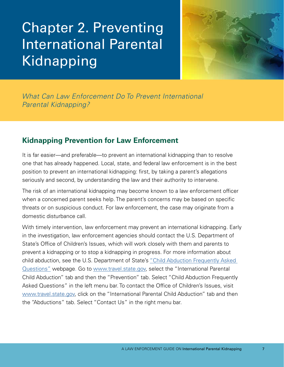# <span id="page-16-0"></span>Chapter 2. Preventing International Parental Kidnapping



*What Can Law Enforcement Do To Prevent International Parental Kidnapping?* 

## **Kidnapping Prevention for Law Enforcement**

It is far easier—and preferable—to prevent an international kidnapping than to resolve one that has already happened. Local, state, and federal law enforcement is in the best position to prevent an international kidnapping: first, by taking a parent's allegations seriously and second, by understanding the law and their authority to intervene.

The risk of an international kidnapping may become known to a law enforcement officer when a concerned parent seeks help. The parent's concerns may be based on specific threats or on suspicious conduct. For law enforcement, the case may originate from a domestic disturbance call.

With timely intervention, law enforcement may prevent an international kidnapping. Early in the investigation, law enforcement agencies should contact the U.S. Department of State's Office of Children's Issues, which will work closely with them and parents to prevent a kidnapping or to stop a kidnapping in progress. For more information about child abduction, see the U.S. Department of State's ["Child Abduction Frequently Asked](https://travel.state.gov/content/travel/en/International-Parental-Child-Abduction/prevention/prevention-faqs.html)  [Questions"](https://travel.state.gov/content/travel/en/International-Parental-Child-Abduction/prevention/prevention-faqs.html) webpage. Go to [www.travel.state.gov,](http://www.travel.state.gov) select the "International Parental Child Abduction" tab and then the "Prevention" tab. Select "Child Abduction Frequently Asked Questions" in the left menu bar. To contact the Office of Children's Issues, visit [www.travel.state.gov](http://www.travel.state.gov), click on the "International Parental Child Abduction" tab and then the "Abductions" tab. Select "Contact Us" in the right menu bar.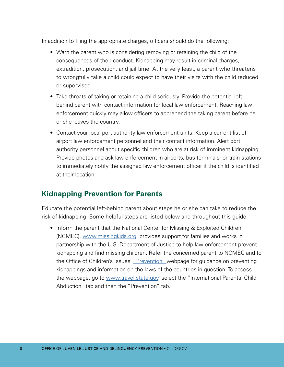<span id="page-17-0"></span>In addition to filing the appropriate charges, officers should do the following:

- Warn the parent who is considering removing or retaining the child of the consequences of their conduct. Kidnapping may result in criminal charges, extradition, prosecution, and jail time. At the very least, a parent who threatens to wrongfully take a child could expect to have their visits with the child reduced or supervised.
- Take threats of taking or retaining a child seriously. Provide the potential leftbehind parent with contact information for local law enforcement. Reaching law enforcement quickly may allow officers to apprehend the taking parent before he or she leaves the country.
- Contact your local port authority law enforcement units. Keep a current list of airport law enforcement personnel and their contact information. Alert port authority personnel about specific children who are at risk of imminent kidnapping. Provide photos and ask law enforcement in airports, bus terminals, or train stations to immediately notify the assigned law enforcement officer if the child is identified at their location.

## **Kidnapping Prevention for Parents**

Educate the potential left-behind parent about steps he or she can take to reduce the risk of kidnapping. Some helpful steps are listed below and throughout this guide.

• Inform the parent that the National Center for Missing & Exploited Children (NCMEC), [www.missingkids.org](http://www.missingkids.org), provides support for families and works in partnership with the U.S. Department of Justice to help law enforcement prevent kidnapping and find missing children. Refer the concerned parent to NCMEC and to the Office of Children's Issues' ["Prevention"](https://travel.state.gov/content/travel/en/International-Parental-Child-Abduction/prevention.html) webpage for guidance on preventing kidnappings and information on the laws of the countries in question. To access the webpage, go to [www.travel.state.gov,](http://www.travel.state.gov) select the "International Parental Child Abduction" tab and then the "Prevention" tab.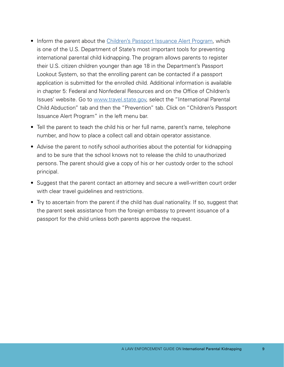- Inform the parent about the [Children's Passport Issuance Alert Program,](https://travel.state.gov/content/travel/en/International-Parental-Child-Abduction/prevention/passport-issuance-alert-program.html) which is one of the U.S. Department of State's most important tools for preventing international parental child kidnapping. The program allows parents to register their U.S. citizen children younger than age 18 in the Department's Passport Lookout System, so that the enrolling parent can be contacted if a passport application is submitted for the enrolled child. Additional information is available in chapter 5: Federal and Nonfederal Resources and on the Office of Children's Issues' website. Go to [www.travel.state.gov](http://www.travel.state.gov), select the "International Parental Child Abduction" tab and then the "Prevention" tab. Click on "Children's Passport Issuance Alert Program" in the left menu bar.
- Tell the parent to teach the child his or her full name, parent's name, telephone number, and how to place a collect call and obtain operator assistance.
- Advise the parent to notify school authorities about the potential for kidnapping and to be sure that the school knows not to release the child to unauthorized persons. The parent should give a copy of his or her custody order to the school principal.
- Suggest that the parent contact an attorney and secure a well-written court order with clear travel guidelines and restrictions.
- Try to ascertain from the parent if the child has dual nationality. If so, suggest that the parent seek assistance from the foreign embassy to prevent issuance of a passport for the child unless both parents approve the request.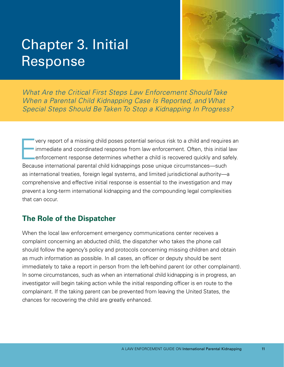## <span id="page-20-0"></span>Chapter 3. Initial Response



*What Are the Critical First Steps Law Enforcement Should Take When a Parental Child Kidnapping Case Is Reported, and What Special Steps Should Be Taken To Stop a Kidnapping In Progress?* 

E very report of a missing child poses potential serious risk to a child and requires an immediate and coordinated response from law enforcement. Often, this initial law enforcement response determines whether a child is recovered quickly and safely. Because international parental child kidnappings pose unique circumstances—such as international treaties, foreign legal systems, and limited jurisdictional authority—a comprehensive and effective initial response is essential to the investigation and may prevent a long-term international kidnapping and the compounding legal complexities that can occur.

## **The Role of the Dispatcher**

When the local law enforcement emergency communications center receives a complaint concerning an abducted child, the dispatcher who takes the phone call should follow the agency's policy and protocols concerning missing children and obtain as much information as possible. In all cases, an officer or deputy should be sent immediately to take a report in person from the left-behind parent (or other complainant). In some circumstances, such as when an international child kidnapping is in progress, an investigator will begin taking action while the initial responding officer is en route to the complainant. If the taking parent can be prevented from leaving the United States, the chances for recovering the child are greatly enhanced.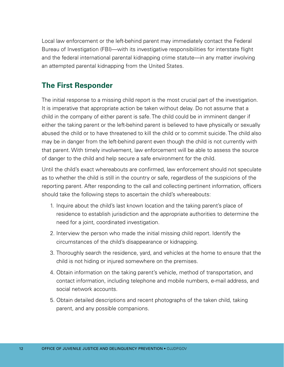<span id="page-21-0"></span>Local law enforcement or the left-behind parent may immediately contact the Federal Bureau of Investigation (FBI)—with its investigative responsibilities for interstate flight and the federal international parental kidnapping crime statute—in any matter involving an attempted parental kidnapping from the United States.

## **The First Responder**

The initial response to a missing child report is the most crucial part of the investigation. It is imperative that appropriate action be taken without delay. Do not assume that a child in the company of either parent is safe. The child could be in imminent danger if either the taking parent or the left-behind parent is believed to have physically or sexually abused the child or to have threatened to kill the child or to commit suicide. The child also may be in danger from the left-behind parent even though the child is not currently with that parent. With timely involvement, law enforcement will be able to assess the source of danger to the child and help secure a safe environment for the child.

Until the child's exact whereabouts are confirmed, law enforcement should not speculate as to whether the child is still in the country or safe, regardless of the suspicions of the reporting parent. After responding to the call and collecting pertinent information, officers should take the following steps to ascertain the child's whereabouts:

- 1. Inquire about the child's last known location and the taking parent's place of residence to establish jurisdiction and the appropriate authorities to determine the need for a joint, coordinated investigation.
- 2. Interview the person who made the initial missing child report. Identify the circumstances of the child's disappearance or kidnapping.
- 3. Thoroughly search the residence, yard, and vehicles at the home to ensure that the child is not hiding or injured somewhere on the premises.
- 4. Obtain information on the taking parent's vehicle, method of transportation, and contact information, including telephone and mobile numbers, e-mail address, and social network accounts.
- 5. Obtain detailed descriptions and recent photographs of the taken child, taking parent, and any possible companions.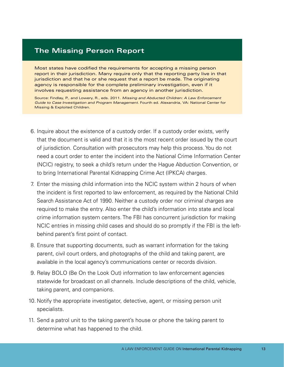### **The Missing Person Report**

Most states have codified the requirements for accepting a missing person report in their jurisdiction. Many require only that the reporting party live in that jurisdiction and that he or she request that a report be made. The originating agency is responsible for the complete preliminary investigation, even if it involves requesting assistance from an agency in another jurisdiction.

Source: Findlay, P., and Lowery, R., eds. 2011. *Missing and Abducted Children: A Law Enforcement Guide to Case Investigation and Program Management.* Fourth ed. Alexandria, VA: National Center for Missing & Exploited Children.

- 6. Inquire about the existence of a custody order. If a custody order exists, verify that the document is valid and that it is the most recent order issued by the court of jurisdiction. Consultation with prosecutors may help this process. You do not need a court order to enter the incident into the National Crime Information Center (NCIC) registry, to seek a child's return under the Hague Abduction Convention, or to bring International Parental Kidnapping Crime Act (IPKCA) charges.
- 7. Enter the missing child information into the NCIC system within 2 hours of when the incident is first reported to law enforcement, as required by the National Child Search Assistance Act of 1990. Neither a custody order nor criminal charges are required to make the entry. Also enter the child's information into state and local crime information system centers. The FBI has concurrent jurisdiction for making NCIC entries in missing child cases and should do so promptly if the FBI is the leftbehind parent's first point of contact.
- 8. Ensure that supporting documents, such as warrant information for the taking parent, civil court orders, and photographs of the child and taking parent, are available in the local agency's communications center or records division.
- 9. Relay BOLO (Be On the Look Out) information to law enforcement agencies statewide for broadcast on all channels. Include descriptions of the child, vehicle, taking parent, and companions.
- 10. Notify the appropriate investigator, detective, agent, or missing person unit specialists.
- 11. Send a patrol unit to the taking parent's house or phone the taking parent to determine what has happened to the child.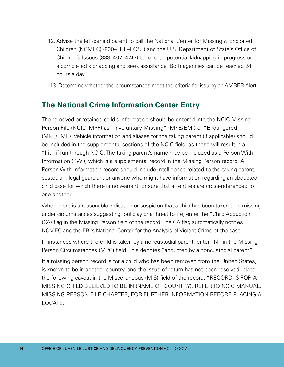- <span id="page-23-0"></span>12. Advise the left-behind parent to call the National Center for Missing & Exploited Children (NCMEC) (800–THE–LOST) and the U.S. Department of State's Office of Children's Issues (888–407–4747) to report a potential kidnapping in progress or a completed kidnapping and seek assistance. Both agencies can be reached 24 hours a day.
- 13. Determine whether the circumstances meet the criteria for issuing an AMBER Alert.

## **The National Crime Information Center Entry**

The removed or retained child's information should be entered into the NCIC Missing Person File (NCIC–MPF) as "Involuntary Missing" (MKE/EMI) or "Endangered" (MKE/EME). Vehicle information and aliases for the taking parent (if applicable) should be included in the supplemental sections of the NCIC field, as these will result in a "hit" if run through NCIC. The taking parent's name may be included as a Person With Information (PWI), which is a supplemental record in the Missing Person record. A Person With Information record should include intelligence related to the taking parent, custodian, legal guardian, or anyone who might have information regarding an abducted child case for which there is no warrant. Ensure that all entries are cross-referenced to one another.

When there is a reasonable indication or suspicion that a child has been taken or is missing under circumstances suggesting foul play or a threat to life, enter the "Child Abduction" (CA) flag in the Missing Person field of the record. The CA flag automatically notifies NCMEC and the FBI's National Center for the Analysis of Violent Crime of the case.

In instances where the child is taken by a noncustodial parent, enter "N" in the Missing Person Circumstances (MPC) field. This denotes "abducted by a noncustodial parent."

If a missing person record is for a child who has been removed from the United States, is known to be in another country, and the issue of return has not been resolved, place the following caveat in the Miscellaneous (MIS) field of the record: "RECORD IS FOR A MISSING CHILD BELIEVED TO BE IN (NAME OF COUNTRY). REFER TO NCIC MANUAL, MISSING PERSON FILE CHAPTER, FOR FURTHER INFORMATION BEFORE PLACING A LOCATE."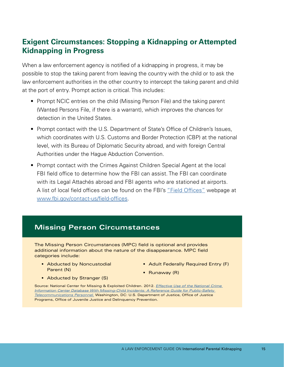## <span id="page-24-0"></span>**Exigent Circumstances: Stopping a Kidnapping or Attempted Kidnapping in Progress**

When a law enforcement agency is notified of a kidnapping in progress, it may be possible to stop the taking parent from leaving the country with the child or to ask the law enforcement authorities in the other country to intercept the taking parent and child at the port of entry. Prompt action is critical. This includes:

- Prompt NCIC entries on the child (Missing Person File) and the taking parent (Wanted Persons File, if there is a warrant), which improves the chances for detection in the United States.
- Prompt contact with the U.S. Department of State's Office of Children's Issues, which coordinates with U.S. Customs and Border Protection (CBP) at the national level, with its Bureau of Diplomatic Security abroad, and with foreign Central Authorities under the Hague Abduction Convention.
- Prompt contact with the Crimes Against Children Special Agent at the local FBI field office to determine how the FBI can assist. The FBI can coordinate with its Legal Attachés abroad and FBI agents who are stationed at airports. A list of local field offices can be found on the FBI's ["Field Offices"](https://www.fbi.gov/contact-us/field-offices) webpage at [www.fbi.gov/contact-us/field-offices](http://www.fbi.gov/contact-us/field-offices).

## **Missing Person Circumstances**

The Missing Person Circumstances (MPC) field is optional and provides additional information about the nature of the disappearance. MPC field categories include:

- Abducted by Noncustodial Parent (N)
- Adult Federally Required Entry (F)
- Runaway (R)
- Abducted by Stranger (S)

Source: National Center for Missing & Exploited Children. 2012. *[Effective Use of the National Crime](http://www.missingkids.org/content/dam/ncmec/en_us/documents/ncicguide.pdf)  [Information Center Database With Missing-Child Incidents: A Reference Guide for Public-Safety](http://www.missingkids.org/content/dam/ncmec/en_us/documents/ncicguide.pdf)  [Telecommunications Personnel.](http://www.missingkids.org/content/dam/ncmec/en_us/documents/ncicguide.pdf)* Washington, DC: U.S. Department of Justice, Office of Justice Programs, Office of Juvenile Justice and Delinquency Prevention.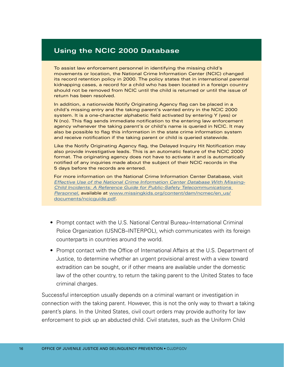#### **Using the NCIC 2000 Database**

To assist law enforcement personnel in identifying the missing child's movements or location, the National Crime Information Center (NCIC) changed its record retention policy in 2000. The policy states that in international parental kidnapping cases, a record for a child who has been located in a foreign country should not be removed from NCIC until the child is returned or until the issue of return has been resolved.

In addition, a nationwide Notify Originating Agency flag can be placed in a child's missing entry and the taking parent's wanted entry in the NCIC 2000 system. It is a one-character alphabetic field activated by entering Y (yes) or N (no). This flag sends immediate notification to the entering law enforcement agency whenever the taking parent's or child's name is queried in NCIC. It may also be possible to flag this information in the state crime information system and receive notification if the taking parent or child is queried statewide.

Like the Notify Originating Agency flag, the Delayed Inquiry Hit Notification may also provide investigative leads. This is an automatic feature of the NCIC 2000 format. The originating agency does not have to activate it and is automatically notified of any inquiries made about the subject of their NCIC records in the 5 days before the records are entered.

For more information on the National Crime Information Center Database, visit *[Effective Use of the National Crime Information Center Database With Missing-](http://www.missingkids.org/content/dam/ncmec/en_us/documents/ncicguide.pdf)[Child Incidents: A Reference Guide for Public-Safety Telecommunications](http://www.missingkids.org/content/dam/ncmec/en_us/documents/ncicguide.pdf)  [Personnel,](http://www.missingkids.org/content/dam/ncmec/en_us/documents/ncicguide.pdf)* available at [www.missingkids.org/content/dam/ncmec/en\\_us/](http://www.missingkids.org/content/dam/ncmec/en_us/documents/ncicguide.pdf)  [documents/ncicguide.pdf](http://www.missingkids.org/content/dam/ncmec/en_us/documents/ncicguide.pdf).

- Prompt contact with the U.S. National Central Bureau–International Criminal Police Organization (USNCB–INTERPOL), which communicates with its foreign counterparts in countries around the world.
- Prompt contact with the Office of International Affairs at the U.S. Department of Justice, to determine whether an urgent provisional arrest with a view toward extradition can be sought, or if other means are available under the domestic law of the other country, to return the taking parent to the United States to face criminal charges.

Successful interception usually depends on a criminal warrant or investigation in connection with the taking parent. However, this is not the only way to thwart a taking parent's plans. In the United States, civil court orders may provide authority for law enforcement to pick up an abducted child. Civil statutes, such as the Uniform Child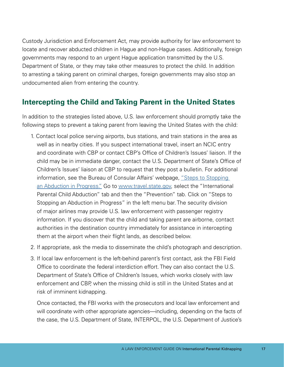<span id="page-26-0"></span>Custody Jurisdiction and Enforcement Act, may provide authority for law enforcement to locate and recover abducted children in Hague and non-Hague cases. Additionally, foreign governments may respond to an urgent Hague application transmitted by the U.S. Department of State, or they may take other measures to protect the child. In addition to arresting a taking parent on criminal charges, foreign governments may also stop an undocumented alien from entering the country.

## **Intercepting the Child and Taking Parent in the United States**

In addition to the strategies listed above, U.S. law enforcement should promptly take the following steps to prevent a taking parent from leaving the United States with the child:

- 1. Contact local police serving airports, bus stations, and train stations in the area as well as in nearby cities. If you suspect international travel, insert an NCIC entry and coordinate with CBP or contact CBP's Office of Children's Issues' liaison. If the child may be in immediate danger, contact the U.S. Department of State's Office of Children's Issues' liaison at CBP to request that they post a bulletin. For additional information, see the Bureau of Consular Affairs' webpage, "Steps to Stopping [an Abduction in Progress."](https://travel.state.gov/content/travel/en/International-Parental-Child-Abduction/prevention/stopping-abduction-in-progress.html) Go to [www.travel.state.gov,](http://www.travel.state.gov) select the "International Parental Child Abduction" tab and then the "Prevention" tab. Click on "Steps to Stopping an Abduction in Progress" in the left menu bar. The security division of major airlines may provide U.S. law enforcement with passenger registry information. If you discover that the child and taking parent are airborne, contact authorities in the destination country immediately for assistance in intercepting them at the airport when their flight lands, as described below.
- 2. If appropriate, ask the media to disseminate the child's photograph and description.
- 3. If local law enforcement is the left-behind parent's first contact, ask the FBI Field Office to coordinate the federal interdiction effort. They can also contact the U.S. Department of State's Office of Children's Issues, which works closely with law enforcement and CBP, when the missing child is still in the United States and at risk of imminent kidnapping.

Once contacted, the FBI works with the prosecutors and local law enforcement and will coordinate with other appropriate agencies—including, depending on the facts of the case, the U.S. Department of State, INTERPOL, the U.S. Department of Justice's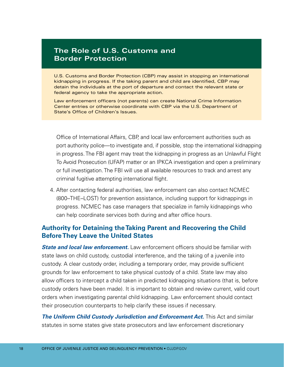### **The Role of U.S. Customs and Border Protection**

U.S. Customs and Border Protection (CBP) may assist in stopping an international kidnapping in progress. If the taking parent and child are identified, CBP may detain the individuals at the port of departure and contact the relevant state or federal agency to take the appropriate action.

Law enforcement officers (not parents) can create National Crime Information Center entries or otherwise coordinate with CBP via the U.S. Department of State's Office of Children's Issues.

Office of International Affairs, CBP, and local law enforcement authorities such as port authority police—to investigate and, if possible, stop the international kidnapping in progress. The FBI agent may treat the kidnapping in progress as an Unlawful Flight To Avoid Prosecution (UFAP) matter or an IPKCA investigation and open a preliminary or full investigation. The FBI will use all available resources to track and arrest any criminal fugitive attempting international flight.

4. After contacting federal authorities, law enforcement can also contact NCMEC (800–THE–LOST) for prevention assistance, including support for kidnappings in progress. NCMEC has case managers that specialize in family kidnappings who can help coordinate services both during and after office hours.

### **Authority for Detaining the Taking Parent and Recovering the Child Before They Leave the United States**

*State and local law enforcement.* Law enforcement officers should be familiar with state laws on child custody, custodial interference, and the taking of a juvenile into custody. A clear custody order, including a temporary order, may provide sufficient grounds for law enforcement to take physical custody of a child. State law may also allow officers to intercept a child taken in predicted kidnapping situations (that is, before custody orders have been made). It is important to obtain and review current, valid court orders when investigating parental child kidnapping. Law enforcement should contact their prosecution counterparts to help clarify these issues if necessary.

**The Uniform Child Custody Jurisdiction and Enforcement Act.** This Act and similar statutes in some states give state prosecutors and law enforcement discretionary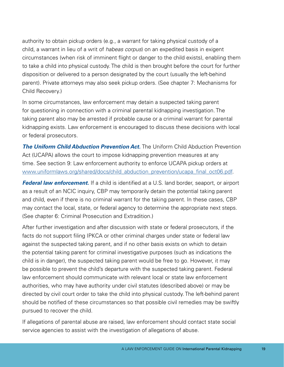authority to obtain pickup orders (e.g., a warrant for taking physical custody of a child, a warrant in lieu of a writ of *habeas corpus*) on an expedited basis in exigent circumstances (when risk of imminent flight or danger to the child exists), enabling them to take a child into physical custody. The child is then brought before the court for further disposition or delivered to a person designated by the court (usually the left-behind parent). Private attorneys may also seek pickup orders. (See chapter 7: Mechanisms for Child Recovery.)

In some circumstances, law enforcement may detain a suspected taking parent for questioning in connection with a criminal parental kidnapping investigation. The taking parent also may be arrested if probable cause or a criminal warrant for parental kidnapping exists. Law enforcement is encouraged to discuss these decisions with local or federal prosecutors.

**The Uniform Child Abduction Prevention Act.** The Uniform Child Abduction Prevention Act (UCAPA) allows the court to impose kidnapping prevention measures at any time. See section 9: Law enforcement authority to enforce UCAPA pickup orders at [www.uniformlaws.org/shared/docs/child\\_abduction\\_prevention/ucapa\\_final\\_oct06.pdf](http://www.uniformlaws.org/shared/docs/child_abduction_prevention/ucapa_final_oct06.pdf).

*Federal law enforcement.* If a child is identified at a U.S. land border, seaport, or airport as a result of an NCIC inquiry, CBP may temporarily detain the potential taking parent and child, even if there is no criminal warrant for the taking parent. In these cases, CBP may contact the local, state, or federal agency to determine the appropriate next steps. (See chapter 6: Criminal Prosecution and Extradition.)

After further investigation and after discussion with state or federal prosecutors, if the facts do not support filing IPKCA or other criminal charges under state or federal law against the suspected taking parent, and if no other basis exists on which to detain the potential taking parent for criminal investigative purposes (such as indications the child is in danger), the suspected taking parent would be free to go. However, it may be possible to prevent the child's departure with the suspected taking parent. Federal law enforcement should communicate with relevant local or state law enforcement authorities, who may have authority under civil statutes (described above) or may be directed by civil court order to take the child into physical custody. The left-behind parent should be notified of these circumstances so that possible civil remedies may be swiftly pursued to recover the child.

If allegations of parental abuse are raised, law enforcement should contact state social service agencies to assist with the investigation of allegations of abuse.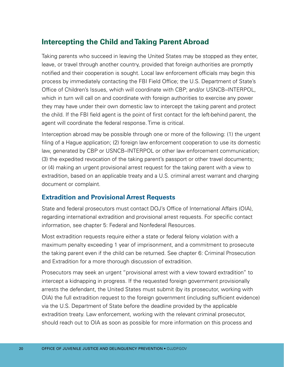## <span id="page-29-0"></span>**Intercepting the Child and Taking Parent Abroad**

Taking parents who succeed in leaving the United States may be stopped as they enter, leave, or travel through another country, provided that foreign authorities are promptly notified and their cooperation is sought. Local law enforcement officials may begin this process by immediately contacting the FBI Field Office; the U.S. Department of State's Office of Children's Issues, which will coordinate with CBP; and/or USNCB–INTERPOL, which in turn will call on and coordinate with foreign authorities to exercise any power they may have under their own domestic law to intercept the taking parent and protect the child. If the FBI field agent is the point of first contact for the left-behind parent, the agent will coordinate the federal response. Time is critical.

Interception abroad may be possible through one or more of the following: (1) the urgent filing of a Hague application; (2) foreign law enforcement cooperation to use its domestic law, generated by CBP or USNCB–INTERPOL or other law enforcement communication; (3) the expedited revocation of the taking parent's passport or other travel documents; or (4) making an urgent provisional arrest request for the taking parent with a view to extradition, based on an applicable treaty and a U.S. criminal arrest warrant and charging document or complaint.

## **Extradition and Provisional Arrest Requests**

State and federal prosecutors must contact DOJ's Office of International Affairs (OIA), regarding international extradition and provisional arrest requests. For specific contact information, see chapter 5: Federal and Nonfederal Resources.

Most extradition requests require either a state or federal felony violation with a maximum penalty exceeding 1 year of imprisonment, and a commitment to prosecute the taking parent even if the child can be returned. See chapter 6: Criminal Prosecution and Extradition for a more thorough discussion of extradition.

Prosecutors may seek an urgent "provisional arrest with a view toward extradition" to intercept a kidnapping in progress. If the requested foreign government provisionally arrests the defendant, the United States must submit (by its prosecutor, working with OIA) the full extradition request to the foreign government (including sufficient evidence) via the U.S. Department of State before the deadline provided by the applicable extradition treaty. Law enforcement, working with the relevant criminal prosecutor, should reach out to OIA as soon as possible for more information on this process and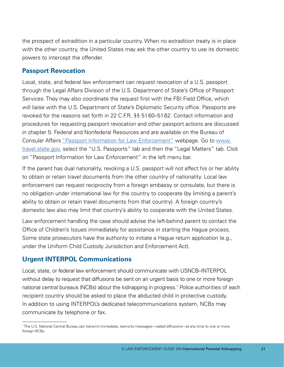the prospect of extradition in a particular country. When no extradition treaty is in place with the other country, the United States may ask the other country to use its domestic powers to intercept the offender.

### **Passport Revocation**

Local, state, and federal law enforcement can request revocation of a U.S. passport through the Legal Affairs Division of the U.S. Department of State's Office of Passport Services. They may also coordinate the request first with the FBI Field Office, which will liaise with the U.S. Department of State's Diplomatic Security office. Passports are revoked for the reasons set forth in 22 C.F.R. §§ 51.60–51.62. Contact information and procedures for requesting passport revocation and other passport actions are discussed in chapter 5: Federal and Nonfederal Resources and are available on the Bureau of Consular Affairs ["Passport Information for Law Enforcement"](https://travel.state.gov/content/travel/en/passports/legal-matters/law-enforcement.html) webpage. Go to [www.](http://www.travel.state.gov)  [travel.state.gov,](http://www.travel.state.gov) select the "U.S. Passports" tab and then the "Legal Matters" tab. Click on "Passport Information for Law Enforcement" in the left menu bar.

If the parent has dual nationality, revoking a U.S. passport will not affect his or her ability to obtain or retain travel documents from the other country of nationality. Local law enforcement can request reciprocity from a foreign embassy or consulate, but there is no obligation under international law for the country to cooperate (by limiting a parent's ability to obtain or retain travel documents from that country). A foreign country's domestic law also may limit that country's ability to cooperate with the United States.

Law enforcement handling the case should advise the left-behind parent to contact the Office of Children's Issues immediately for assistance in starting the Hague process. Some state prosecutors have the authority to initiate a Hague return application (e.g., under the Uniform Child Custody Jurisdiction and Enforcement Act).

## **Urgent INTERPOL Communications**

Local, state, or federal law enforcement should communicate with USNCB–INTERPOL without delay to request that diffusions be sent on an urgent basis to one or more foreign national central bureaus (NCBs) about the kidnapping in progress.<sup>1</sup> Police authorities of each recipient country should be asked to place the abducted child in protective custody. In addition to using INTERPOL's dedicated telecommunications system, NCBs may communicate by telephone or fax.

<sup>1</sup> The U.S. National Central Bureau can transmit immediate, text-only messages—called diffusions—at any time to one or more foreign NCBs.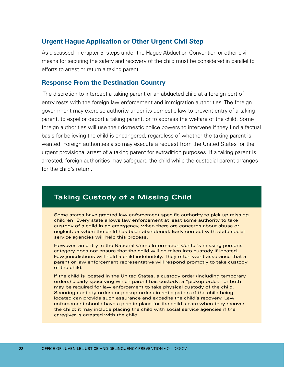#### **Urgent Hague Application or Other Urgent Civil Step**

As discussed in chapter 5, steps under the Hague Abduction Convention or other civil means for securing the safety and recovery of the child must be considered in parallel to efforts to arrest or return a taking parent.

#### **Response From the Destination Country**

The discretion to intercept a taking parent or an abducted child at a foreign port of entry rests with the foreign law enforcement and immigration authorities. The foreign government may exercise authority under its domestic law to prevent entry of a taking parent, to expel or deport a taking parent, or to address the welfare of the child. Some foreign authorities will use their domestic police powers to intervene if they find a factual basis for believing the child is endangered, regardless of whether the taking parent is wanted. Foreign authorities also may execute a request from the United States for the urgent provisional arrest of a taking parent for extradition purposes. If a taking parent is arrested, foreign authorities may safeguard the child while the custodial parent arranges for the child's return.

## **Taking Custody of a Missing Child**

Some states have granted law enforcement specific authority to pick up missing children. Every state allows law enforcement at least some authority to take custody of a child in an emergency, when there are concerns about abuse or neglect, or when the child has been abandoned. Early contact with state social service agencies will help this process.

However, an entry in the National Crime Information Center's missing persons category does not ensure that the child will be taken into custody if located. Few jurisdictions will hold a child indefinitely. They often want assurance that a parent or law enforcement representative will respond promptly to take custody of the child.

If the child is located in the United States, a custody order (including temporary orders) clearly specifying which parent has custody, a "pickup order," or both, may be required for law enforcement to take physical custody of the child. Securing custody orders or pickup orders in anticipation of the child being located can provide such assurance and expedite the child's recovery. Law enforcement should have a plan in place for the child's care when they recover the child; it may include placing the child with social service agencies if the caregiver is arrested with the child.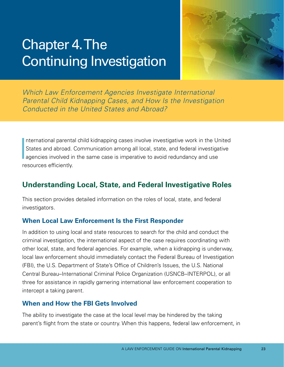## <span id="page-32-0"></span>Chapter 4.The Continuing Investigation



*Which Law Enforcement Agencies Investigate International Parental Child Kidnapping Cases, and How Is the Investigation Conducted in the United States and Abroad?* 

I nternational parental child kidnapping cases involve investigative work in the United States and abroad. Communication among all local, state, and federal investigative agencies involved in the same case is imperative to avoid redundancy and use resources efficiently.

## **Understanding Local, State, and Federal Investigative Roles**

This section provides detailed information on the roles of local, state, and federal investigators.

### **When Local Law Enforcement Is the First Responder**

In addition to using local and state resources to search for the child and conduct the criminal investigation, the international aspect of the case requires coordinating with other local, state, and federal agencies. For example, when a kidnapping is underway, local law enforcement should immediately contact the Federal Bureau of Investigation (FBI), the U.S. Department of State's Office of Children's Issues, the U.S. National Central Bureau–International Criminal Police Organization (USNCB–INTERPOL), or all three for assistance in rapidly garnering international law enforcement cooperation to intercept a taking parent.

### **When and How the FBI Gets Involved**

The ability to investigate the case at the local level may be hindered by the taking parent's flight from the state or country. When this happens, federal law enforcement, in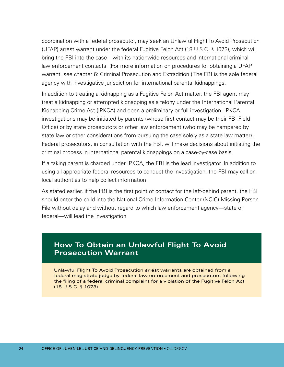coordination with a federal prosecutor, may seek an Unlawful Flight To Avoid Prosecution (UFAP) arrest warrant under the federal Fugitive Felon Act (18 U.S.C. § 1073), which will bring the FBI into the case—with its nationwide resources and international criminal law enforcement contacts. (For more information on procedures for obtaining a UFAP warrant, see chapter 6: Criminal Prosecution and Extradition.) The FBI is the sole federal agency with investigative jurisdiction for international parental kidnappings.

In addition to treating a kidnapping as a Fugitive Felon Act matter, the FBI agent may treat a kidnapping or attempted kidnapping as a felony under the International Parental Kidnapping Crime Act (IPKCA) and open a preliminary or full investigation. IPKCA investigations may be initiated by parents (whose first contact may be their FBI Field Office) or by state prosecutors or other law enforcement (who may be hampered by state law or other considerations from pursuing the case solely as a state law matter). Federal prosecutors, in consultation with the FBI, will make decisions about initiating the criminal process in international parental kidnappings on a case-by-case basis.

If a taking parent is charged under IPKCA, the FBI is the lead investigator. In addition to using all appropriate federal resources to conduct the investigation, the FBI may call on local authorities to help collect information.

As stated earlier, if the FBI is the first point of contact for the left-behind parent, the FBI should enter the child into the National Crime Information Center (NCIC) Missing Person File without delay and without regard to which law enforcement agency—state or federal—will lead the investigation.

## **How To Obtain an Unlawful Flight To Avoid Prosecution Warrant**

Unlawful Flight To Avoid Prosecution arrest warrants are obtained from a federal magistrate judge by federal law enforcement and prosecutors following the filing of a federal criminal complaint for a violation of the Fugitive Felon Act (18 U.S.C. § 1073).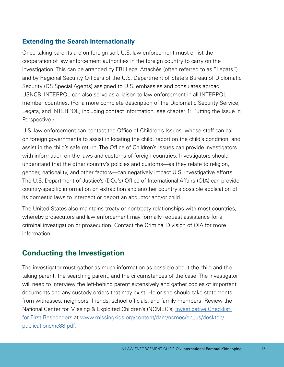## <span id="page-34-0"></span>**Extending the Search Internationally**

Once taking parents are on foreign soil, U.S. law enforcement must enlist the cooperation of law enforcement authorities in the foreign country to carry on the investigation. This can be arranged by FBI Legal Attachés (often referred to as "Legats") and by Regional Security Officers of the U.S. Department of State's Bureau of Diplomatic Security (DS Special Agents) assigned to U.S. embassies and consulates abroad. USNCB–INTERPOL can also serve as a liaison to law enforcement in all INTERPOL member countries. (For a more complete description of the Diplomatic Security Service, Legats, and INTERPOL, including contact information, see chapter 1: Putting the Issue in Perspective.)

U.S. law enforcement can contact the Office of Children's Issues, whose staff can call on foreign governments to assist in locating the child, report on the child's condition, and assist in the child's safe return. The Office of Children's Issues can provide investigators with information on the laws and customs of foreign countries. Investigators should understand that the other country's policies and customs—as they relate to religion, gender, nationality, and other factors—can negatively impact U.S. investigative efforts. The U.S. Department of Justice's (DOJ's) Office of International Affairs (OIA) can provide country-specific information on extradition and another country's possible application of its domestic laws to intercept or deport an abductor and/or child.

The United States also maintains treaty or nontreaty relationships with most countries, whereby prosecutors and law enforcement may formally request assistance for a criminal investigation or prosecution. Contact the Criminal Division of OIA for more information.

## **Conducting the Investigation**

The investigator must gather as much information as possible about the child and the taking parent, the searching parent, and the circumstances of the case. The investigator will need to interview the left-behind parent extensively and gather copies of important documents and any custody orders that may exist. He or she should take statements from witnesses, neighbors, friends, school officials, and family members. Review the National Center for Missing & Exploited Children's (NCMEC's) [Investigative Checklist](http://www.missingkids.org/content/dam/ncmec/en_us/desktop/publications/nc88.pdf)  [for First Responders](http://www.missingkids.org/content/dam/ncmec/en_us/desktop/publications/nc88.pdf) at [www.missingkids.org/content/dam/ncmec/en\\_us/desktop/](http://www.missingkids.org/content/dam/ncmec/en_us/desktop/publications/nc88.pdf) [publications/nc88.pdf.](http://www.missingkids.org/content/dam/ncmec/en_us/desktop/publications/nc88.pdf)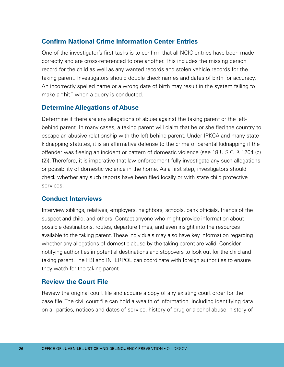### **Confirm National Crime Information Center Entries**

One of the investigator's first tasks is to confirm that all NCIC entries have been made correctly and are cross-referenced to one another. This includes the missing person record for the child as well as any wanted records and stolen vehicle records for the taking parent. Investigators should double check names and dates of birth for accuracy. An incorrectly spelled name or a wrong date of birth may result in the system failing to make a "hit" when a query is conducted.

#### **Determine Allegations of Abuse**

Determine if there are any allegations of abuse against the taking parent or the leftbehind parent. In many cases, a taking parent will claim that he or she fled the country to escape an abusive relationship with the left-behind parent. Under IPKCA and many state kidnapping statutes, it is an affirmative defense to the crime of parental kidnapping if the offender was fleeing an incident or pattern of domestic violence (see 18 U.S.C. § 1204 (c) (2)). Therefore, it is imperative that law enforcement fully investigate any such allegations or possibility of domestic violence in the home. As a first step, investigators should check whether any such reports have been filed locally or with state child protective services.

#### **Conduct Interviews**

Interview siblings, relatives, employers, neighbors, schools, bank officials, friends of the suspect and child, and others. Contact anyone who might provide information about possible destinations, routes, departure times, and even insight into the resources available to the taking parent. These individuals may also have key information regarding whether any allegations of domestic abuse by the taking parent are valid. Consider notifying authorities in potential destinations and stopovers to look out for the child and taking parent. The FBI and INTERPOL can coordinate with foreign authorities to ensure they watch for the taking parent.

#### **Review the Court File**

Review the original court file and acquire a copy of any existing court order for the case file. The civil court file can hold a wealth of information, including identifying data on all parties, notices and dates of service, history of drug or alcohol abuse, history of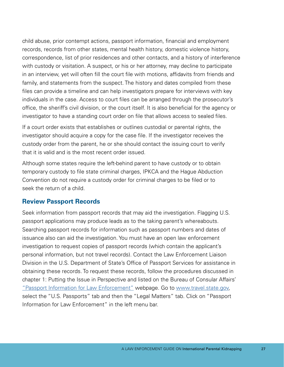child abuse, prior contempt actions, passport information, financial and employment records, records from other states, mental health history, domestic violence history, correspondence, list of prior residences and other contacts, and a history of interference with custody or visitation. A suspect, or his or her attorney, may decline to participate in an interview, yet will often fill the court file with motions, affidavits from friends and family, and statements from the suspect. The history and dates compiled from these files can provide a timeline and can help investigators prepare for interviews with key individuals in the case. Access to court files can be arranged through the prosecutor's office, the sheriff's civil division, or the court itself. It is also beneficial for the agency or investigator to have a standing court order on file that allows access to sealed files.

If a court order exists that establishes or outlines custodial or parental rights, the investigator should acquire a copy for the case file. If the investigator receives the custody order from the parent, he or she should contact the issuing court to verify that it is valid and is the most recent order issued.

Although some states require the left-behind parent to have custody or to obtain temporary custody to file state criminal charges, IPKCA and the Hague Abduction Convention do not require a custody order for criminal charges to be filed or to seek the return of a child.

#### **Review Passport Records**

Seek information from passport records that may aid the investigation. Flagging U.S. passport applications may produce leads as to the taking parent's whereabouts. Searching passport records for information such as passport numbers and dates of issuance also can aid the investigation. You must have an open law enforcement investigation to request copies of passport records (which contain the applicant's personal information, but not travel records). Contact the Law Enforcement Liaison Division in the U.S. Department of State's Office of Passport Services for assistance in obtaining these records. To request these records, follow the procedures discussed in chapter 1: Putting the Issue in Perspective and listed on the Bureau of Consular Affairs' ["Passport Information for Law Enforcement"](https://travel.state.gov/content/travel/en/passports/legal-matters/law-enforcement.html) webpage. Go to [www.travel.state.gov,](http://www.travel.state.gov) select the "U.S. Passports" tab and then the "Legal Matters" tab. Click on "Passport Information for Law Enforcement" in the left menu bar.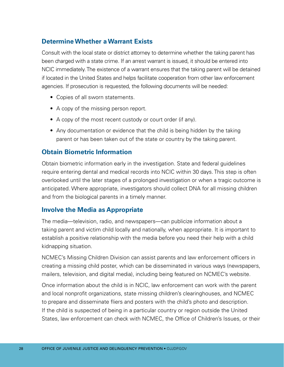#### **Determine Whether a Warrant Exists**

Consult with the local state or district attorney to determine whether the taking parent has been charged with a state crime. If an arrest warrant is issued, it should be entered into NCIC immediately. The existence of a warrant ensures that the taking parent will be detained if located in the United States and helps facilitate cooperation from other law enforcement agencies. If prosecution is requested, the following documents will be needed:

- Copies of all sworn statements.
- A copy of the missing person report.
- A copy of the most recent custody or court order (if any).
- Any documentation or evidence that the child is being hidden by the taking parent or has been taken out of the state or country by the taking parent.

#### **Obtain Biometric Information**

Obtain biometric information early in the investigation. State and federal guidelines require entering dental and medical records into NCIC within 30 days. This step is often overlooked until the later stages of a prolonged investigation or when a tragic outcome is anticipated. Where appropriate, investigators should collect DNA for all missing children and from the biological parents in a timely manner.

#### **Involve the Media as Appropriate**

The media—television, radio, and newspapers—can publicize information about a taking parent and victim child locally and nationally, when appropriate. It is important to establish a positive relationship with the media before you need their help with a child kidnapping situation.

NCMEC's Missing Children Division can assist parents and law enforcement officers in creating a missing child poster, which can be disseminated in various ways (newspapers, mailers, television, and digital media), including being featured on NCMEC's website.

Once information about the child is in NCIC, law enforcement can work with the parent and local nonprofit organizations, state missing children's clearinghouses, and NCMEC to prepare and disseminate fliers and posters with the child's photo and description. If the child is suspected of being in a particular country or region outside the United States, law enforcement can check with NCMEC, the Office of Children's Issues, or their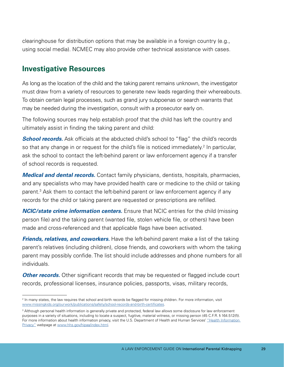clearinghouse for distribution options that may be available in a foreign country (e.g., using social media). NCMEC may also provide other technical assistance with cases.

# **Investigative Resources**

As long as the location of the child and the taking parent remains unknown, the investigator must draw from a variety of resources to generate new leads regarding their whereabouts. To obtain certain legal processes, such as grand jury subpoenas or search warrants that may be needed during the investigation, consult with a prosecutor early on.

The following sources may help establish proof that the child has left the country and ultimately assist in finding the taking parent and child:

**School records.** Ask officials at the abducted child's school to "flag" the child's records so that any change in or request for the child's file is noticed immediately.<sup>2</sup> In particular, ask the school to contact the left-behind parent or law enforcement agency if a transfer of school records is requested.

*Medical and dental records.* Contact family physicians, dentists, hospitals, pharmacies, and any specialists who may have provided health care or medicine to the child or taking parent.3 Ask them to contact the left-behind parent or law enforcement agency if any records for the child or taking parent are requested or prescriptions are refilled.

*NCIC/state crime information centers.* Ensure that NCIC entries for the child (missing person file) and the taking parent (wanted file, stolen vehicle file, or others) have been made and cross-referenced and that applicable flags have been activated.

*Friends, relatives, and coworkers.* Have the left-behind parent make a list of the taking parent's relatives (including children), close friends, and coworkers with whom the taking parent may possibly confide. The list should include addresses and phone numbers for all individuals.

**Other records.** Other significant records that may be requested or flagged include court records, professional licenses, insurance policies, passports, visas, military records,

<sup>2</sup> In many states, the law requires that school and birth records be flagged for missing children. For more information, visit [www.missingkids.org/ourwork/publications/safety/school-records-and-birth-certificates.](http://www.missingkids.org/ourwork/publications/safety/school-records-and-birth-certificates)

 purposes in a variety of situations, including to locate a suspect, fugitive, material witness, or missing person (45 C.F.R. § 164.512(f)). 3 Although personal health information is generally private and protected, federal law allows some disclosure for law enforcement For more information about health information privacy, visit the U.S. Department of Health and Human Services' "Health Information [Privacy"](http://www.hhs.gov/hipaa/index.html) webpage at [www.hhs.gov/hipaa/index.html](http://www.hhs.gov/hipaa/index.html).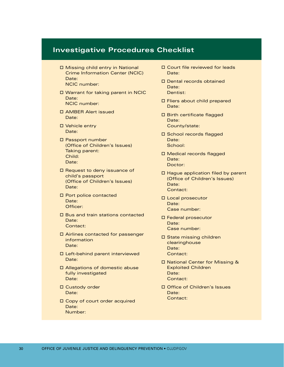## **Investigative Procedures Checklist**

- $\square$  Missing child entry in National Crime Information Center (NCIC) Date: NCIC number:
- $\square$  Warrant for taking parent in NCIC Date: NCIC number:
- o AMBER Alert issued Date:
- D Vehicle entry Date:
- D Passport number (Office of Children's Issues) Taking parent: Child: Date:
- D Request to deny issuance of child's passport (Office of Children's Issues) Date:
- $\square$  Port police contacted Date: Officer:
- $\square$  Bus and train stations contacted Date: Contact:
- $\square$  Airlines contacted for passenger information Date:
- $\square$  Left-behind parent interviewed Date:
- □ Allegations of domestic abuse fully investigated Date:
- □ Custody order Date:
- $\square$  Copy of court order acquired Date: Number:
- $\square$  Court file reviewed for leads Date:
- $\square$  Dental records obtained Date:
	- Dentist:
- $\square$  Fliers about child prepared Date:
- D Birth certificate flagged Date: County/state:
- □ School records flagged Date: School:
- □ Medical records flagged Date: Doctor:
- $\square$  Hague application filed by parent (Office of Children's Issues) Date: Contact:
- **D** Local prosecutor Date: Case number:
- o Federal prosecutor Date: Case number:
- $\square$  State missing children clearinghouse Date: Contact:
- □ National Center for Missing & Exploited Children Date: Contact:
- □ Office of Children's Issues Date: Contact: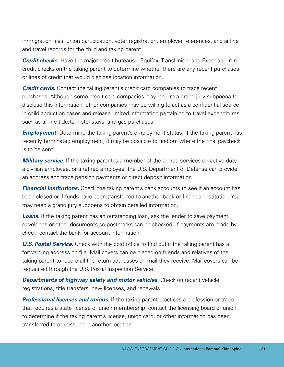immigration files, union participation, voter registration, employer references, and airline and travel records for the child and taking parent.

*Credit checks.* Have the major credit bureaus—Equifax, TransUnion, and Experian—run credit checks on the taking parent to determine whether there are any recent purchases or lines of credit that would disclose location information.

*Credit cards.* Contact the taking parent's credit card companies to trace recent purchases. Although some credit card companies may require a grand jury subpoena to disclose this information, other companies may be willing to act as a confidential source in child abduction cases and release limited information pertaining to travel expenditures, such as airline tickets, hotel stays, and gas purchases.

*Employment.* Determine the taking parent's employment status. If the taking parent has recently terminated employment, it may be possible to find out where the final paycheck is to be sent.

*Military service.* If the taking parent is a member of the armed services on active duty, a civilian employee, or a retired employee, the U.S. Department of Defense can provide an address and trace pension payments or direct deposit information.

**Financial institutions.** Check the taking parent's bank accounts to see if an account has been closed or if funds have been transferred to another bank or financial institution. You may need a grand jury subpoena to obtain detailed information.

**Loans.** If the taking parent has an outstanding loan, ask the lender to save payment envelopes or other documents so postmarks can be checked. If payments are made by check, contact the bank for account information.

**U.S. Postal Service.** Check with the post office to find out if the taking parent has a forwarding address on file. Mail covers can be placed on friends and relatives of the taking parent to record all the return addresses on mail they receive. Mail covers can be requested through the U.S. Postal Inspection Service.

*Departments of highway safety and motor vehicles.* **Check on recent vehicle** registrations, title transfers, new licenses, and renewals.

*Professional licenses and unions.* If the taking parent practices a profession or trade that requires a state license or union membership, contact the licensing board or union to determine if the taking parent's license, union card, or other information has been transferred to or reissued in another location.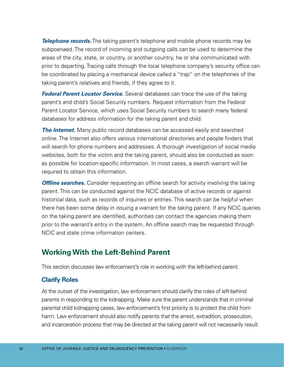*Telephone records.* The taking parent's telephone and mobile phone records may be subpoenaed. The record of incoming and outgoing calls can be used to determine the areas of the city, state, or country, or another country, he or she communicated with prior to departing. Tracing calls through the local telephone company's security office can be coordinated by placing a mechanical device called a "trap" on the telephones of the taking parent's relatives and friends, if they agree to it.

*Federal Parent Locator Service.* Several databases can trace the use of the taking parent's and child's Social Security numbers. Request information from the Federal Parent Locator Service, which uses Social Security numbers to search many federal databases for address information for the taking parent and child.

*The Internet.* Many public record databases can be accessed easily and searched online. The Internet also offers various international directories and people finders that will search for phone numbers and addresses. A thorough investigation of social media websites, both for the victim and the taking parent, should also be conducted as soon as possible for location-specific information. In most cases, a search warrant will be required to obtain this information.

*Offline searches.* Consider requesting an offline search for activity involving the taking parent. This can be conducted against the NCIC database of active records or against historical data, such as records of inquiries or entries. This search can be helpful when there has been some delay in issuing a warrant for the taking parent. If any NCIC queries on the taking parent are identified, authorities can contact the agencies making them prior to the warrant's entry in the system. An offline search may be requested through NCIC and state crime information centers.

# **Working With the Left-Behind Parent**

This section discusses law enforcement's role in working with the left-behind parent.

## **Clarify Roles**

At the outset of the investigation, law enforcement should clarify the roles of left-behind parents in responding to the kidnapping. Make sure the parent understands that in criminal parental child kidnapping cases, law enforcement's first priority is to protect the child from harm. Law enforcement should also notify parents that the arrest, extradition, prosecution, and incarceration process that may be directed at the taking parent will not necessarily result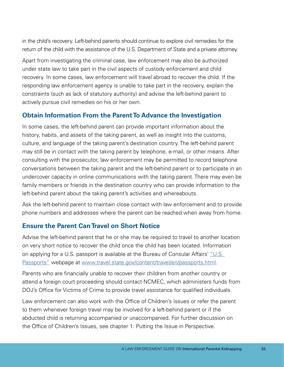in the child's recovery. Left-behind parents should continue to explore civil remedies for the return of the child with the assistance of the U.S. Department of State and a private attorney.

Apart from investigating the criminal case, law enforcement may also be authorized under state law to take part in the civil aspects of custody enforcement and child recovery. In some cases, law enforcement will travel abroad to recover the child. If the responding law enforcement agency is unable to take part in the recovery, explain the constraints (such as lack of statutory authority) and advise the left-behind parent to actively pursue civil remedies on his or her own.

## **Obtain Information From the Parent To Advance the Investigation**

In some cases, the left-behind parent can provide important information about the history, habits, and assets of the taking parent, as well as insight into the customs, culture, and language of the taking parent's destination country. The left-behind parent may still be in contact with the taking parent by telephone, e-mail, or other means. After consulting with the prosecutor, law enforcement may be permitted to record telephone conversations between the taking parent and the left-behind parent or to participate in an undercover capacity in online communications with the taking parent. There may even be family members or friends in the destination country who can provide information to the left-behind parent about the taking parent's activities and whereabouts.

Ask the left-behind parent to maintain close contact with law enforcement and to provide phone numbers and addresses where the parent can be reached when away from home.

#### **Ensure the Parent Can Travel on Short Notice**

Advise the left-behind parent that he or she may be required to travel to another location on very short notice to recover the child once the child has been located. Information on applying for a U.S. passport is available at the Bureau of Consular Affairs' ["U.S.](http://www.travel.state.gov/content/travel/en/passports.html)  [Passports"](http://www.travel.state.gov/content/travel/en/passports.html) webpage at [www.travel.state.gov/content/travel/en/passports.html.](http://www.travel.state.gov/content/travel/en/passports.html)

Parents who are financially unable to recover their children from another country or attend a foreign court proceeding should contact NCMEC, which administers funds from DOJ's Office for Victims of Crime to provide travel assistance for qualified individuals.

Law enforcement can also work with the Office of Children's Issues or refer the parent to them whenever foreign travel may be involved for a left-behind parent or if the abducted child is returning accompanied or unaccompanied. For further discussion on the Office of Children's Issues, see chapter 1: Putting the Issue in Perspective.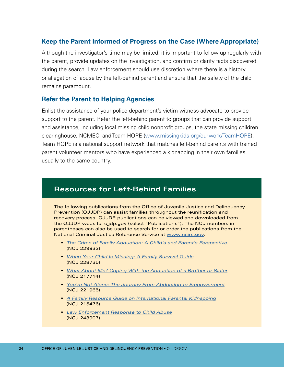#### **Keep the Parent Informed of Progress on the Case (Where Appropriate)**

Although the investigator's time may be limited, it is important to follow up regularly with the parent, provide updates on the investigation, and confirm or clarify facts discovered during the search. Law enforcement should use discretion where there is a history or allegation of abuse by the left-behind parent and ensure that the safety of the child remains paramount.

#### **Refer the Parent to Helping Agencies**

Enlist the assistance of your police department's victim-witness advocate to provide support to the parent. Refer the left-behind parent to groups that can provide support and assistance, including local missing child nonprofit groups, the state missing children clearinghouse, NCMEC, and Team HOPE [\(www.missingkids.org/ourwork/TeamHOPE\)](http://www.missingkids.org/ourwork/TeamHOPE). Team HOPE is a national support network that matches left-behind parents with trained parent volunteer mentors who have experienced a kidnapping in their own families, usually to the same country.

## **Resources for Left-Behind Families**

The following publications from the Office of Juvenile Justice and Delinquency Prevention (OJJDP) can assist families throughout the reunification and recovery process. OJJDP publications can be viewed and downloaded from the OJJDP website, ojjdp.gov (select "Publications"). The NCJ numbers in parentheses can also be used to search for or order the publications from the National Criminal Justice Reference Service at [www.ncjrs.gov](http://www.ncjrs.gov).

- **[The Crime of Family Abduction: A Child's and Parent's Perspective](https://www.ncjrs.gov/pdffiles1/ojjdp/229933.pdf)** [\(NCJ 229933\)](https://www.ncjrs.gov/pdffiles1/ojjdp/229933.pdf)
- • *[When Your Child Is Missing: A Family Survival Guide](https://www.ncjrs.gov/pdffiles1/ojjdp/228735.pdf)* [\(NCJ 228735\)](https://www.ncjrs.gov/pdffiles1/ojjdp/228735.pdf)
- • *[What About Me? Coping With the Abduction of a Brother or Sister](https://www.ncjrs.gov/pdffiles1/ojjdp/217714.pdf)* [\(NCJ 217714\)](https://www.ncjrs.gov/pdffiles1/ojjdp/217714.pdf)
- **[You're Not Alone: The Journey From Abduction to Empowerment](https://www.ncjrs.gov/pdffiles1/ojjdp/221965.pdf)** [\(NCJ 221965\)](https://www.ncjrs.gov/pdffiles1/ojjdp/221965.pdf)
- **[A Family Resource Guide on International Parental Kidnapping](https://www.ncjrs.gov/pdffiles1/ojjdp/215476.pdf)** [\(NCJ 215476\)](https://www.ncjrs.gov/pdffiles1/ojjdp/215476.pdf)
- • *[Law Enforcement Response to Child Abuse](http://ojjdp.gov/pubs/243907.pdf)* [\(NCJ 243907\)](http://ojjdp.gov/pubs/243907.pdf)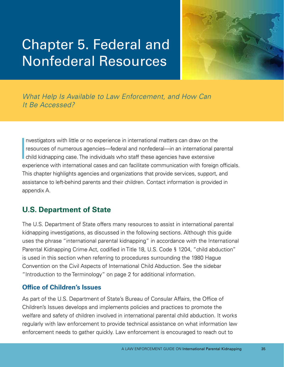# Chapter 5. Federal and Nonfederal Resources



*What Help Is Available to Law Enforcement, and How Can It Be Accessed?* 

 $\begin{bmatrix} 1 \\ 1 \\ 0 \\ 0 \end{bmatrix}$ nvestigators with little or no experience in international matters can draw on the resources of numerous agencies—federal and nonfederal—in an international parental child kidnapping case. The individuals who staff these agencies have extensive experience with international cases and can facilitate communication with foreign officials. This chapter highlights agencies and organizations that provide services, support, and assistance to left-behind parents and their children. Contact information is provided in appendix A.

# **U.S. Department of State**

The U.S. Department of State offers many resources to assist in international parental kidnapping investigations, as discussed in the following sections. Although this guide uses the phrase "international parental kidnapping" in accordance with the International Parental Kidnapping Crime Act, codified in Title 18, U.S. Code § 1204, "child abduction" is used in this section when referring to procedures surrounding the 1980 Hague Convention on the Civil Aspects of International Child Abduction. See the sidebar "Introduction to the Terminology" on page 2 for additional information.

#### **Office of Children's Issues**

As part of the U.S. Department of State's Bureau of Consular Affairs, the Office of Children's Issues develops and implements policies and practices to promote the welfare and safety of children involved in international parental child abduction. It works regularly with law enforcement to provide technical assistance on what information law enforcement needs to gather quickly. Law enforcement is encouraged to reach out to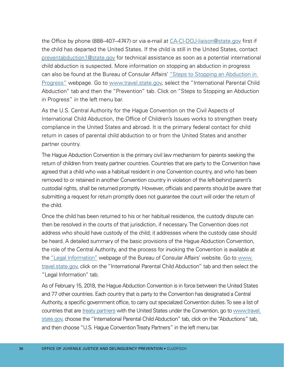the Office by phone (888–407–4747) or via e-mail at [CA-CI-DOJ-liaison@state.gov](mailto:CA-CI-DOJ-liaison%40state.gov?subject=) first if the child has departed the United States. If the child is still in the United States, contact [preventabduction1@state.gov](mailto:preventabduction1%40state.gov?subject=) for technical assistance as soon as a potential international child abduction is suspected. More information on stopping an abduction in progress can also be found at the Bureau of Consular Affairs' "Steps to Stopping an Abduction in [Progress"](https://travel.state.gov/content/travel/en/International-Parental-Child-Abduction/prevention/stopping-abduction-in-progress.html) webpage. Go to [www.travel.state.gov,](http://www.travel.state.gov) select the "International Parental Child Abduction" tab and then the "Prevention" tab. Click on "Steps to Stopping an Abduction in Progress" in the left menu bar.

As the U.S. Central Authority for the Hague Convention on the Civil Aspects of International Child Abduction, the Office of Children's Issues works to strengthen treaty compliance in the United States and abroad. It is the primary federal contact for child return in cases of parental child abduction to or from the United States and another partner country.

The Hague Abduction Convention is the primary civil law mechanism for parents seeking the return of children from treaty partner countries. Countries that are party to the Convention have agreed that a child who was a habitual resident in one Convention country, and who has been removed to or retained in another Convention country in violation of the left-behind parent's custodial rights, shall be returned promptly. However, officials and parents should be aware that submitting a request for return promptly does not guarantee the court will order the return of the child.

Once the child has been returned to his or her habitual residence, the custody dispute can then be resolved in the courts of that jurisdiction, if necessary. The Convention does not address who should have custody of the child; it addresses where the custody case should be heard. A detailed summary of the basic provisions of the Hague Abduction Convention, the role of the Central Authority, and the process for invoking the Convention is available at the ["Legal Information"](https://travel.state.gov/content/travel/en/International-Parental-Child-Abduction/for-providers.html) webpage of the Bureau of Consular Affairs' website. Go to [www.](http://www.travel.state.gov)  [travel.state.gov,](http://www.travel.state.gov) click on the "International Parental Child Abduction" tab and then select the "Legal Information" tab.

As of February 15, 2018, the Hague Abduction Convention is in force between the United States and 77 other countries. Each country that is party to the Convention has designated a Central Authority, a specific government office, to carry out specialized Convention duties. To see a list of countries that are [treaty partners](https://travel.state.gov/content/travel/en/International-Parental-Child-Abduction/abductions/hague-abduction-country-list.html) with the United States under the Convention, go to www.travel. [state.gov](http://www.travel.state.gov), choose the "International Parental Child Abduction" tab, click on the "Abductions" tab, and then choose "U.S. Hague Convention Treaty Partners" in the left menu bar.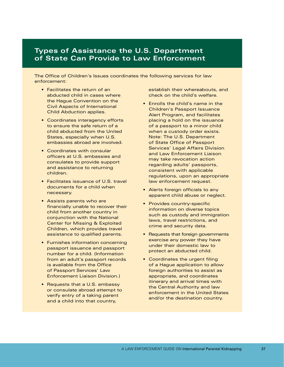#### **Types of Assistance the U.S. Department of State Can Provide to Law Enforcement**

The Office of Children's Issues coordinates the following services for law enforcement:

- Facilitates the return of an abducted child in cases where the Hague Convention on the Civil Aspects of International Child Abduction applies.
- Coordinates interagency efforts to ensure the safe return of a child abducted from the United States, especially when U.S. embassies abroad are involved.
- Coordinates with consular officers at U.S. embassies and consulates to provide support and assistance to returning children.
- Facilitates issuance of U.S. travel documents for a child when necessary.
- Assists parents who are financially unable to recover their child from another country in conjunction with the National Center for Missing & Exploited Children, which provides travel assistance to qualified parents.
- Furnishes information concerning passport issuance and passport number for a child. (Information from an adult's passport records is available from the Office of Passport Services' Law Enforcement Liaison Division.)
- Requests that a U.S. embassy or consulate abroad attempt to verify entry of a taking parent and a child into that country,

establish their whereabouts, and check on the child's welfare.

- Enrolls the child's name in the Children's Passport Issuance Alert Program, and facilitates placing a hold on the issuance of a passport to a minor child when a custody order exists. Note: The U.S. Department of State Office of Passport Services' Legal Affairs Division and Law Enforcement Liaison may take revocation action regarding adults' passports, consistent with applicable regulations, upon an appropriate law enforcement request.
- Alerts foreign officials to any apparent child abuse or neglect.
- Provides country-specific information on diverse topics such as custody and immigration laws, travel restrictions, and crime and security data.
- Requests that foreign governments exercise any power they have under their domestic law to protect an abducted child.
- Coordinates the urgent filing of a Hague application to allow foreign authorities to assist as appropriate, and coordinates itinerary and arrival times with the Central Authority and law enforcement in the United States and/or the destination country.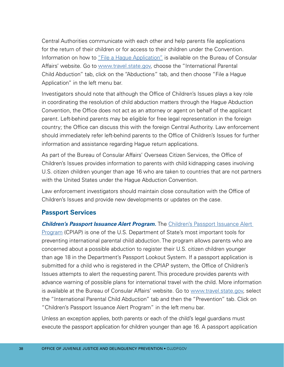Central Authorities communicate with each other and help parents file applications for the return of their children or for access to their children under the Convention. Information on how to ["File a Hague Application"](https://travel.state.gov/content/travel/en/International-Parental-Child-Abduction/abductions/hague-app-wizard.html) is available on the Bureau of Consular Affairs' website. Go to [www.travel.state.gov,](http://www.travel.state.gov) choose the "International Parental Child Abduction" tab, click on the "Abductions" tab, and then choose "File a Hague Application" in the left menu bar.

Investigators should note that although the Office of Children's Issues plays a key role in coordinating the resolution of child abduction matters through the Hague Abduction Convention, the Office does not act as an attorney or agent on behalf of the applicant parent. Left-behind parents may be eligible for free legal representation in the foreign country; the Office can discuss this with the foreign Central Authority. Law enforcement should immediately refer left-behind parents to the Office of Children's Issues for further information and assistance regarding Hague return applications.

As part of the Bureau of Consular Affairs' Overseas Citizen Services, the Office of Children's Issues provides information to parents with child kidnapping cases involving U.S. citizen children younger than age 16 who are taken to countries that are not partners with the United States under the Hague Abduction Convention.

Law enforcement investigators should maintain close consultation with the Office of Children's Issues and provide new developments or updates on the case.

#### **Passport Services**

**Children's Passport Issuance Alert Program.** The Children's Passport Issuance Alert [Program](https://travel.state.gov/content/travel/en/International-Parental-Child-Abduction/prevention/passport-issuance-alert-program.html) (CPIAP) is one of the U.S. Department of State's most important tools for preventing international parental child abduction. The program allows parents who are concerned about a possible abduction to register their U.S. citizen children younger than age 18 in the Department's Passport Lookout System. If a passport application is submitted for a child who is registered in the CPIAP system, the Office of Children's Issues attempts to alert the requesting parent. This procedure provides parents with advance warning of possible plans for international travel with the child. More information is available at the Bureau of Consular Affairs' website. Go to [www.travel.state.gov](http://www.travel.state.gov), select the "International Parental Child Abduction" tab and then the "Prevention" tab. Click on "Children's Passport Issuance Alert Program" in the left menu bar.

 execute the passport application for children younger than age 16. A passport application Unless an exception applies, both parents or each of the child's legal guardians must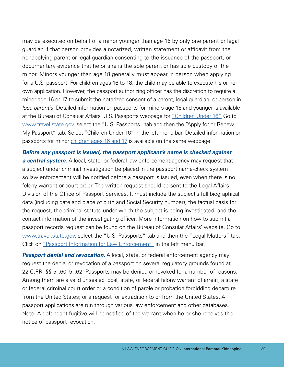may be executed on behalf of a minor younger than age 16 by only one parent or legal guardian if that person provides a notarized, written statement or affidavit from the nonapplying parent or legal guardian consenting to the issuance of the passport, or documentary evidence that he or she is the sole parent or has sole custody of the minor. Minors younger than age 18 generally must appear in person when applying for a U.S. passport. For children ages 16 to 18, the child may be able to execute his or her own application. However, the passport authorizing officer has the discretion to require a minor age 16 or 17 to submit the notarized consent of a parent, legal guardian, or person in *loco parentis*. Detailed information on passports for minors age 16 and younger is available at the Bureau of Consular Affairs' U.S. Passports webpage for ["Children Under 16."](https://travel.state.gov/content/travel/en/passports/apply-renew-passport/under-16.html) Go to [www.travel.state.gov,](http://www.travel.state.gov) select the "U.S. Passports" tab and then the "Apply for or Renew My Passport" tab. Select "Children Under 16" in the left menu bar. Detailed information on passports for minor [children ages 16 and 17](https://travel.state.gov/content/travel/en/passports/apply-renew-passport/16-17.html) is available on the same webpage.

*Before any passport is issued, the passport applicant's name is checked against a central system.* A local, state, or federal law enforcement agency may request that a subject under criminal investigation be placed in the passport name-check system so law enforcement will be notified before a passport is issued, even when there is no felony warrant or court order. The written request should be sent to the Legal Affairs Division of the Office of Passport Services. It must include the subject's full biographical data (including date and place of birth and Social Security number), the factual basis for the request, the criminal statute under which the subject is being investigated, and the contact information of the investigating officer. More information on how to submit a passport records request can be found on the Bureau of Consular Affairs' website. Go to [www.travel.state.gov](http://www.travel.state.gov), select the "U.S. Passports" tab and then the "Legal Matters" tab. Click on ["Passport Information for Law Enforcement"](https://travel.state.gov/content/travel/en/passports/legal-matters/law-enforcement.html) in the left menu bar.

**Passport denial and revocation.** A local, state, or federal enforcement agency may request the denial or revocation of a passport on several regulatory grounds found at 22 C.F.R. §§ 51.60–51.62. Passports may be denied or revoked for a number of reasons. Among them are a valid unsealed local, state, or federal felony warrant of arrest; a state or federal criminal court order or a condition of parole or probation forbidding departure from the United States; or a request for extradition to or from the United States. All passport applications are run through various law enforcement and other databases. Note: A defendant fugitive will be notified of the warrant when he or she receives the notice of passport revocation.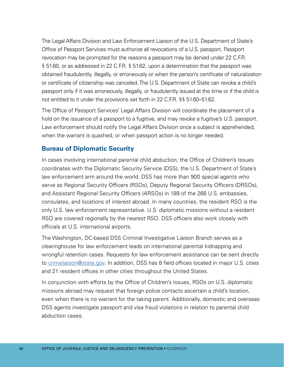The Legal Affairs Division and Law Enforcement Liaison of the U.S. Department of State's Office of Passport Services must authorize all revocations of a U.S. passport. Passport revocation may be prompted for the reasons a passport may be denied under 22 C.F.R. § 51.60, or as addressed in 22 C.F.R. § 51.62, upon a determination that the passport was obtained fraudulently, illegally, or erroneously or when the person's certificate of naturalization or certificate of citizenship was canceled. The U.S. Department of State can revoke a child's passport only if it was erroneously, illegally, or fraudulently issued at the time or if the child is not entitled to it under the provisions set forth in 22 C.F.R. §§ 51.60–51.62.

The Office of Passport Services' Legal Affairs Division will coordinate the placement of a hold on the issuance of a passport to a fugitive, and may revoke a fugitive's U.S. passport. Law enforcement should notify the Legal Affairs Division once a subject is apprehended, when the warrant is quashed, or when passport action is no longer needed.

## **Bureau of Diplomatic Security**

In cases involving international parental child abduction, the Office of Children's Issues coordinates with the Diplomatic Security Service (DSS), the U.S. Department of State's law enforcement arm around the world. DSS has more than 900 special agents who serve as Regional Security Officers (RSOs), Deputy Regional Security Officers (DRSOs), and Assistant Regional Security Officers (ARSOs) in 189 of the 266 U.S. embassies, consulates, and locations of interest abroad. In many countries, the resident RSO is the only U.S. law enforcement representative. U.S. diplomatic missions without a resident RSO are covered regionally by the nearest RSO. DSS officers also work closely with officials at U.S. international airports.

The Washington, DC-based DSS Criminal Investigative Liaison Branch serves as a clearinghouse for law enforcement leads on international parental kidnapping and wrongful retention cases. Requests for law enforcement assistance can be sent directly to [crimeliaison@state.gov](mailto:crimeliaison%40state.gov?subject=). In addition, DSS has 8 field offices located in major U.S. cities and 21 resident offices in other cities throughout the United States.

In conjunction with efforts by the Office of Children's Issues, RSOs on U.S. diplomatic missions abroad may request that foreign police contacts ascertain a child's location, even when there is no warrant for the taking parent. Additionally, domestic and overseas DSS agents investigate passport and visa fraud violations in relation to parental child abduction cases.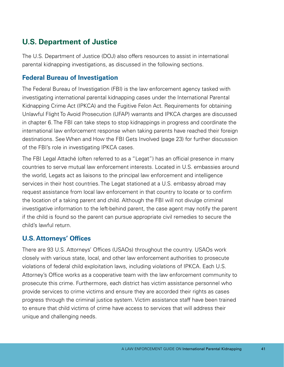# **U.S. Department of Justice**

The U.S. Department of Justice (DOJ) also offers resources to assist in international parental kidnapping investigations, as discussed in the following sections.

#### **Federal Bureau of Investigation**

The Federal Bureau of Investigation (FBI) is the law enforcement agency tasked with investigating international parental kidnapping cases under the International Parental Kidnapping Crime Act (IPKCA) and the Fugitive Felon Act. Requirements for obtaining Unlawful Flight To Avoid Prosecution (UFAP) warrants and IPKCA charges are discussed in chapter 6. The FBI can take steps to stop kidnappings in progress and coordinate the international law enforcement response when taking parents have reached their foreign destinations. See When and How the FBI Gets Involved (page 23) for further discussion of the FBI's role in investigating IPKCA cases.

The FBI Legal Attaché (often referred to as a "Legat") has an official presence in many countries to serve mutual law enforcement interests. Located in U.S. embassies around the world, Legats act as liaisons to the principal law enforcement and intelligence services in their host countries. The Legat stationed at a U.S. embassy abroad may request assistance from local law enforcement in that country to locate or to confirm the location of a taking parent and child. Although the FBI will not divulge criminal investigative information to the left-behind parent, the case agent may notify the parent if the child is found so the parent can pursue appropriate civil remedies to secure the child's lawful return.

#### **U.S. Attorneys' Offices**

There are 93 U.S. Attorneys' Offices (USAOs) throughout the country. USAOs work closely with various state, local, and other law enforcement authorities to prosecute violations of federal child exploitation laws, including violations of IPKCA. Each U.S. Attorney's Office works as a cooperative team with the law enforcement community to prosecute this crime. Furthermore, each district has victim assistance personnel who provide services to crime victims and ensure they are accorded their rights as cases progress through the criminal justice system. Victim assistance staff have been trained to ensure that child victims of crime have access to services that will address their unique and challenging needs.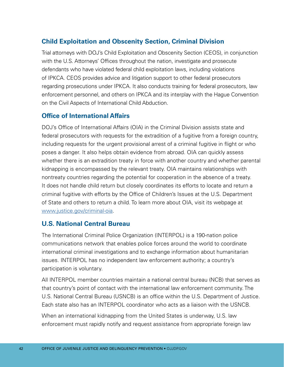## **Child Exploitation and Obscenity Section, Criminal Division**

Trial attorneys with DOJ's Child Exploitation and Obscenity Section (CEOS), in conjunction with the U.S. Attorneys' Offices throughout the nation, investigate and prosecute defendants who have violated federal child exploitation laws, including violations of IPKCA. CEOS provides advice and litigation support to other federal prosecutors regarding prosecutions under IPKCA. It also conducts training for federal prosecutors, law enforcement personnel, and others on IPKCA and its interplay with the Hague Convention on the Civil Aspects of International Child Abduction.

#### **Office of International Affairs**

DOJ's Office of International Affairs (OIA) in the Criminal Division assists state and federal prosecutors with requests for the extradition of a fugitive from a foreign country, including requests for the urgent provisional arrest of a criminal fugitive in flight or who poses a danger. It also helps obtain evidence from abroad. OIA can quickly assess whether there is an extradition treaty in force with another country and whether parental kidnapping is encompassed by the relevant treaty. OIA maintains relationships with nontreaty countries regarding the potential for cooperation in the absence of a treaty. It does not handle child return but closely coordinates its efforts to locate and return a criminal fugitive with efforts by the Office of Children's Issues at the U.S. Department of State and others to return a child. To learn more about OIA, visit its webpage at [www.justice.gov/criminal-oia.](http://www.justice.gov/criminal-oia)

#### **U.S. National Central Bureau**

The International Criminal Police Organization (INTERPOL) is a 190-nation police communications network that enables police forces around the world to coordinate international criminal investigations and to exchange information about humanitarian issues. INTERPOL has no independent law enforcement authority; a country's participation is voluntary.

All INTERPOL member countries maintain a national central bureau (NCB) that serves as that country's point of contact with the international law enforcement community. The U.S. National Central Bureau (USNCB) is an office within the U.S. Department of Justice. Each state also has an INTERPOL coordinator who acts as a liaison with the USNCB.

When an international kidnapping from the United States is underway, U.S. law enforcement must rapidly notify and request assistance from appropriate foreign law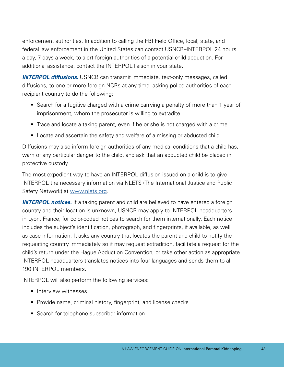enforcement authorities. In addition to calling the FBI Field Office, local, state, and federal law enforcement in the United States can contact USNCB–INTERPOL 24 hours a day, 7 days a week, to alert foreign authorities of a potential child abduction. For additional assistance, contact the INTERPOL liaison in your state.

*INTERPOL diffusions.* USNCB can transmit immediate, text-only messages, called diffusions, to one or more foreign NCBs at any time, asking police authorities of each recipient country to do the following:

- Search for a fugitive charged with a crime carrying a penalty of more than 1 year of imprisonment, whom the prosecutor is willing to extradite.
- Trace and locate a taking parent, even if he or she is not charged with a crime.
- Locate and ascertain the safety and welfare of a missing or abducted child.

Diffusions may also inform foreign authorities of any medical conditions that a child has, warn of any particular danger to the child, and ask that an abducted child be placed in protective custody.

The most expedient way to have an INTERPOL diffusion issued on a child is to give INTERPOL the necessary information via NLETS (The International Justice and Public Safety Network) at [www.nlets.org](http://www.nlets.org).

**INTERPOL notices.** If a taking parent and child are believed to have entered a foreign country and their location is unknown, USNCB may apply to INTERPOL headquarters in Lyon, France, for color-coded notices to search for them internationally. Each notice includes the subject's identification, photograph, and fingerprints, if available, as well as case information. It asks any country that locates the parent and child to notify the requesting country immediately so it may request extradition, facilitate a request for the child's return under the Hague Abduction Convention, or take other action as appropriate. INTERPOL headquarters translates notices into four languages and sends them to all 190 INTERPOL members.

INTERPOL will also perform the following services:

- Interview witnesses.
- Provide name, criminal history, fingerprint, and license checks.
- Search for telephone subscriber information.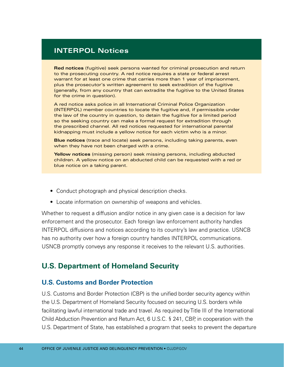## **INTERPOL Notices**

**Red notices** (fugitive) seek persons wanted for criminal prosecution and return to the prosecuting country. A red notice requires a state or federal arrest warrant for at least one crime that carries more than 1 year of imprisonment, plus the prosecutor's written agreement to seek extradition of the fugitive (generally, from any country that can extradite the fugitive to the United States for the crime in question).

A red notice asks police in all International Criminal Police Organization (INTERPOL) member countries to locate the fugitive and, if permissible under the law of the country in question, to detain the fugitive for a limited period so the seeking country can make a formal request for extradition through the prescribed channel. All red notices requested for international parental kidnapping must include a yellow notice for each victim who is a minor.

**Blue notices** (trace and locate) seek persons, including taking parents, even when they have not been charged with a crime.

**Yellow notices** (missing person) seek missing persons, including abducted children. A yellow notice on an abducted child can be requested with a red or blue notice on a taking parent.

- Conduct photograph and physical description checks.
- Locate information on ownership of weapons and vehicles.

Whether to request a diffusion and/or notice in any given case is a decision for law enforcement and the prosecutor. Each foreign law enforcement authority handles INTERPOL diffusions and notices according to its country's law and practice. USNCB has no authority over how a foreign country handles INTERPOL communications. USNCB promptly conveys any response it receives to the relevant U.S. authorities.

## **U.S. Department of Homeland Security**

#### **U.S. Customs and Border Protection**

U.S. Customs and Border Protection (CBP) is the unified border security agency within the U.S. Department of Homeland Security focused on securing U.S. borders while facilitating lawful international trade and travel. As required by Title III of the International Child Abduction Prevention and Return Act, 6 U.S.C. § 241, CBP, in cooperation with the U.S. Department of State, has established a program that seeks to prevent the departure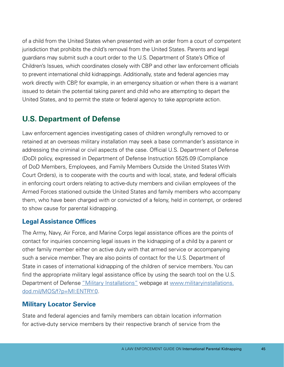of a child from the United States when presented with an order from a court of competent jurisdiction that prohibits the child's removal from the United States. Parents and legal guardians may submit such a court order to the U.S. Department of State's Office of Children's Issues, which coordinates closely with CBP and other law enforcement officials to prevent international child kidnappings. Additionally, state and federal agencies may work directly with CBP, for example, in an emergency situation or when there is a warrant issued to detain the potential taking parent and child who are attempting to depart the United States, and to permit the state or federal agency to take appropriate action.

# **U.S. Department of Defense**

Law enforcement agencies investigating cases of children wrongfully removed to or retained at an overseas military installation may seek a base commander's assistance in addressing the criminal or civil aspects of the case. Official U.S. Department of Defense (DoD) policy, expressed in Department of Defense Instruction 5525.09 (Compliance of DoD Members, Employees, and Family Members Outside the United States With Court Orders), is to cooperate with the courts and with local, state, and federal officials in enforcing court orders relating to active-duty members and civilian employees of the Armed Forces stationed outside the United States and family members who accompany them, who have been charged with or convicted of a felony, held in contempt, or ordered to show cause for parental kidnapping.

#### **Legal Assistance Offices**

The Army, Navy, Air Force, and Marine Corps legal assistance offices are the points of contact for inquiries concerning legal issues in the kidnapping of a child by a parent or other family member either on active duty with that armed service or accompanying such a service member. They are also points of contact for the U.S. Department of State in cases of international kidnapping of the children of service members. You can find the appropriate military legal assistance office by using the search tool on the U.S. Department of Defense ["Military Installations"](http://www.militaryinstallations.dod.mil/MOS/f?p=MI:ENTRY:0) webpage at [www.militaryinstallations.](http://www.militaryinstallations.dod.mil/MOS/f?p=MI:ENTRY:0) [dod.mil/MOS/f?p=MI:ENTRY:0.](http://www.militaryinstallations.dod.mil/MOS/f?p=MI:ENTRY:0)

#### **Military Locator Service**

State and federal agencies and family members can obtain location information for active-duty service members by their respective branch of service from the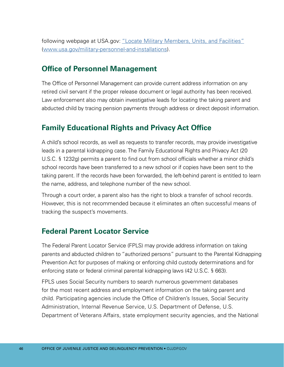following webpage at USA.gov: ["Locate Military Members, Units, and Facilities"](https://www.usa.gov/military-personnel-and-installations) [\(www.usa.gov/military-personnel-and-installations](http://www.usa.gov/military-personnel-and-installations)).

# **Office of Personnel Management**

The Office of Personnel Management can provide current address information on any retired civil servant if the proper release document or legal authority has been received. Law enforcement also may obtain investigative leads for locating the taking parent and abducted child by tracing pension payments through address or direct deposit information.

# **Family Educational Rights and Privacy Act Office**

A child's school records, as well as requests to transfer records, may provide investigative leads in a parental kidnapping case. The Family Educational Rights and Privacy Act (20 U.S.C. § 1232g) permits a parent to find out from school officials whether a minor child's school records have been transferred to a new school or if copies have been sent to the taking parent. If the records have been forwarded, the left-behind parent is entitled to learn the name, address, and telephone number of the new school.

Through a court order, a parent also has the right to block a transfer of school records. However, this is not recommended because it eliminates an often successful means of tracking the suspect's movements.

# **Federal Parent Locator Service**

The Federal Parent Locator Service (FPLS) may provide address information on taking parents and abducted children to "authorized persons" pursuant to the Parental Kidnapping Prevention Act for purposes of making or enforcing child custody determinations and for enforcing state or federal criminal parental kidnapping laws (42 U.S.C. § 663).

FPLS uses Social Security numbers to search numerous government databases for the most recent address and employment information on the taking parent and child. Participating agencies include the Office of Children's Issues, Social Security Administration, Internal Revenue Service, U.S. Department of Defense, U.S. Department of Veterans Affairs, state employment security agencies, and the National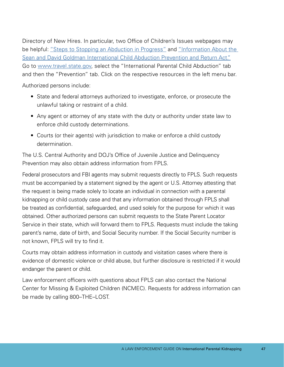Sean and David Goldman International Child Abduction Prevention and Return Act." Directory of New Hires. In particular, two Office of Children's Issues webpages may be helpful: ["Steps to Stopping an Abduction in Progress"](https://travel.state.gov/content/travel/en/International-Parental-Child-Abduction/prevention/stopping-abduction-in-progress.html) and ["Information About the](https://travel.state.gov/content/travel/en/International-Parental-Child-Abduction/prevention/sean-goldman-prevention-return-act.html)  Go to [www.travel.state.gov,](http://www.travel.state.gov) select the "International Parental Child Abduction" tab and then the "Prevention" tab. Click on the respective resources in the left menu bar.

Authorized persons include:

- State and federal attorneys authorized to investigate, enforce, or prosecute the unlawful taking or restraint of a child.
- Any agent or attorney of any state with the duty or authority under state law to enforce child custody determinations.
- Courts (or their agents) with jurisdiction to make or enforce a child custody determination.

The U.S. Central Authority and DOJ's Office of Juvenile Justice and Delinquency Prevention may also obtain address information from FPLS.

Federal prosecutors and FBI agents may submit requests directly to FPLS. Such requests must be accompanied by a statement signed by the agent or U.S. Attorney attesting that the request is being made solely to locate an individual in connection with a parental kidnapping or child custody case and that any information obtained through FPLS shall be treated as confidential, safeguarded, and used solely for the purpose for which it was obtained. Other authorized persons can submit requests to the State Parent Locator Service in their state, which will forward them to FPLS. Requests must include the taking parent's name, date of birth, and Social Security number. If the Social Security number is not known, FPLS will try to find it.

Courts may obtain address information in custody and visitation cases where there is evidence of domestic violence or child abuse, but further disclosure is restricted if it would endanger the parent or child.

Law enforcement officers with questions about FPLS can also contact the National Center for Missing & Exploited Children (NCMEC). Requests for address information can be made by calling 800–THE–LOST.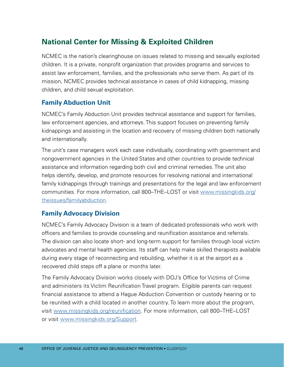# **National Center for Missing & Exploited Children**

NCMEC is the nation's clearinghouse on issues related to missing and sexually exploited children. It is a private, nonprofit organization that provides programs and services to assist law enforcement, families, and the professionals who serve them. As part of its mission, NCMEC provides technical assistance in cases of child kidnapping, missing children, and child sexual exploitation.

## **Family Abduction Unit**

NCMEC's Family Abduction Unit provides technical assistance and support for families, law enforcement agencies, and attorneys. This support focuses on preventing family kidnappings and assisting in the location and recovery of missing children both nationally and internationally.

The unit's case managers work each case individually, coordinating with government and nongovernment agencies in the United States and other countries to provide technical assistance and information regarding both civil and criminal remedies. The unit also helps identify, develop, and promote resources for resolving national and international family kidnappings through trainings and presentations for the legal and law enforcement communities. For more information, call 800–THE–LOST or visit [www.missingkids.org/](http://www.missingkids.org/theissues/familyabduction) [theissues/familyabduction](http://www.missingkids.org/theissues/familyabduction).

#### **Family Advocacy Division**

NCMEC's Family Advocacy Division is a team of dedicated professionals who work with officers and families to provide counseling and reunification assistance and referrals. The division can also locate short- and long-term support for families through local victim advocates and mental health agencies. Its staff can help make skilled therapists available during every stage of reconnecting and rebuilding, whether it is at the airport as a recovered child steps off a plane or months later.

The Family Advocacy Division works closely with DOJ's Office for Victims of Crime and administers its Victim Reunification Travel program. Eligible parents can request financial assistance to attend a Hague Abduction Convention or custody hearing or to be reunited with a child located in another country. To learn more about the program, visit [www.missingkids.org/reunification.](http://www.missingkids.org/reunification) For more information, call 800–THE–LOST or visit [www.missingkids.org/Support](http://www.missingkids.org/Support).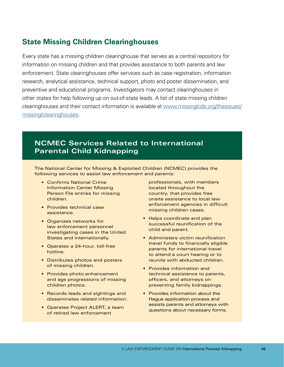## **State Missing Children Clearinghouses**

Every state has a missing children clearinghouse that serves as a central repository for information on missing children and that provides assistance to both parents and law enforcement. State clearinghouses offer services such as case registration, information research, analytical assistance, technical support, photo and poster dissemination, and preventive and educational programs. Investigators may contact clearinghouses in other states for help following up on out-of-state leads. A list of state missing children clearinghouses and their contact information is available at [www.missingkids.org/theissues/](http://www.missingkids.org/theissues/missing/clearinghouses) [missing/clearinghouses](http://www.missingkids.org/theissues/missing/clearinghouses).

## **NCMEC Services Related to International Parental Child Kidnapping**

The National Center for Missing & Exploited Children (NCMEC) provides the following services to assist law enforcement and parents:

- Confirms National Crime Information Center Missing Person File entries for missing children.
- Provides technical case assistance.
- Organizes networks for law enforcement personnel investigating cases in the United States and internationally.
- Operates a 24-hour, toll-free hotline.
- Distributes photos and posters of missing children.
- Provides photo enhancement and age progressions of missing children photos.
- Records leads and sightings and disseminates related information.
- Operates Project ALERT, a team of retired law enforcement

professionals, with members located throughout the country, that provides free onsite assistance to local law enforcement agencies in difficult missing children cases.

- Helps coordinate and plan successful reunification of the child and parent.
- Administers victim reunification travel funds to financially eligible parents for international travel to attend a court hearing or to reunite with abducted children.
- Provides information and technical assistance to parents, officers, and attorneys on preventing family kidnappings.
- Provides information about the Hague application process and assists parents and attorneys with questions about necessary forms.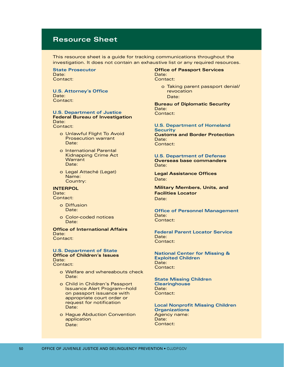#### **Resource Sheet**

This resource sheet is a guide for tracking communications throughout the investigation. It does not contain an exhaustive list or any required resources.

**State Prosecutor**  Date: Contact:

**U.S. Attorney's Office**  Date: Contact:

#### **U.S. Department of Justice Federal Bureau of Investigation**  Date:

Contact:

- o Unlawful Flight To Avoid Prosecution warrant Date:
- o International Parental Kidnapping Crime Act **Warrant** Date:
- o Legal Attaché (Legat) Name: Country:

#### **INTERPOL**

Date: Contact:

- o Diffusion Date:
- o Color-coded notices Date:

**Office of International Affairs**  Date: Contact:

#### **U.S. Department of State Office of Children's Issues**  Date: Contact:

- o Welfare and whereabouts check Date:
- o Child in Children's Passport Issuance Alert Program—hold on passport issuance with appropriate court order or request for notification Date:
- o Hague Abduction Convention application Date:

#### **Office of Passport Services**  Date: Contact:

o Taking parent passport denial/ revocation Date:

**Bureau of Diplomatic Security**  Date: Contact:

#### **U.S. Department of Homeland**

**Security Customs and Border Protection**  Date: Contact:

#### **U.S. Department of Defense Overseas base commanders**  Date:

**Legal Assistance Offices**  Date:

**Military Members, Units, and Facilities Locator**  Date:

#### **Office of Personnel Management**  Date: Contact:

**Federal Parent Locator Service**  Date: Contact:

**National Center for Missing & Exploited Children**  Date: Contact:

**State Missing Children Clearinghouse**  Date: Contact:

**Local Nonprofit Missing Children Organizations**  Agency name: Date: Contact: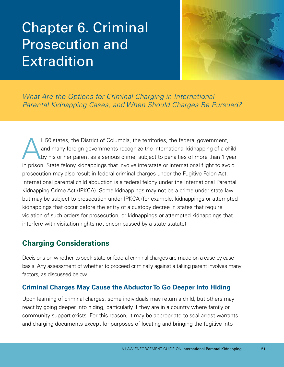# Chapter 6. Criminal Prosecution and Extradition



*What Are the Options for Criminal Charging in International Parental Kidnapping Cases, and When Should Charges Be Pursued?* 

Il 50 states, the District of Columbia, the territories, the federal government,<br>and many foreign governments recognize the international kidnapping of a ch<br>by his or her parent as a serious crime, subject to penalties of and many foreign governments recognize the international kidnapping of a child by his or her parent as a serious crime, subject to penalties of more than 1 year in prison. State felony kidnappings that involve interstate or international flight to avoid prosecution may also result in federal criminal charges under the Fugitive Felon Act. International parental child abduction is a federal felony under the International Parental Kidnapping Crime Act (IPKCA). Some kidnappings may not be a crime under state law but may be subject to prosecution under IPKCA (for example, kidnappings or attempted kidnappings that occur before the entry of a custody decree in states that require violation of such orders for prosecution, or kidnappings or attempted kidnappings that interfere with visitation rights not encompassed by a state statute).

# **Charging Considerations**

Decisions on whether to seek state or federal criminal charges are made on a case-by-case basis. Any assessment of whether to proceed criminally against a taking parent involves many factors, as discussed below.

## **Criminal Charges May Cause the Abductor To Go Deeper Into Hiding**

Upon learning of criminal charges, some individuals may return a child, but others may react by going deeper into hiding, particularly if they are in a country where family or community support exists. For this reason, it may be appropriate to seal arrest warrants and charging documents except for purposes of locating and bringing the fugitive into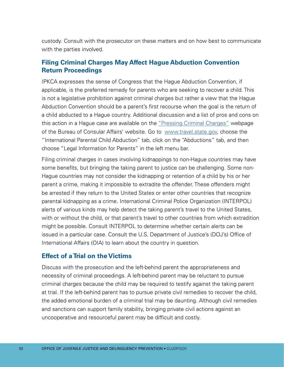custody. Consult with the prosecutor on these matters and on how best to communicate with the parties involved.

#### **Filing Criminal Charges May Affect Hague Abduction Convention Return Proceedings**

IPKCA expresses the sense of Congress that the Hague Abduction Convention, if applicable, is the preferred remedy for parents who are seeking to recover a child. This is not a legislative prohibition against criminal charges but rather a view that the Hague Abduction Convention should be a parent's first recourse when the goal is the return of a child abducted to a Hague country. Additional discussion and a list of pros and cons on this action in a Hague case are available on the ["Pressing Criminal Charges"](https://travel.state.gov/content/travel/en/International-Parental-Child-Abduction/abductions/legain-info-for-parents.html) webpage of the Bureau of Consular Affairs' website. Go to [www.travel.state.gov,](http://www.travel.state.gov) choose the "International Parental Child Abduction" tab, click on the "Abductions" tab, and then choose "Legal Information for Parents" in the left menu bar.

Filing criminal charges in cases involving kidnappings to non-Hague countries may have some benefits, but bringing the taking parent to justice can be challenging. Some non-Hague countries may not consider the kidnapping or retention of a child by his or her parent a crime, making it impossible to extradite the offender. These offenders might be arrested if they return to the United States or enter other countries that recognize parental kidnapping as a crime. International Criminal Police Organization (INTERPOL) alerts of various kinds may help detect the taking parent's travel to the United States, with or without the child, or that parent's travel to other countries from which extradition might be possible. Consult INTERPOL to determine whether certain alerts can be issued in a particular case. Consult the U.S. Department of Justice's (DOJ's) Office of International Affairs (OIA) to learn about the country in question.

#### **Effect of a Trial on the Victims**

Discuss with the prosecution and the left-behind parent the appropriateness and necessity of criminal proceedings. A left-behind parent may be reluctant to pursue criminal charges because the child may be required to testify against the taking parent at trial. If the left-behind parent has to pursue private civil remedies to recover the child, the added emotional burden of a criminal trial may be daunting. Although civil remedies and sanctions can support family stability, bringing private civil actions against an uncooperative and resourceful parent may be difficult and costly.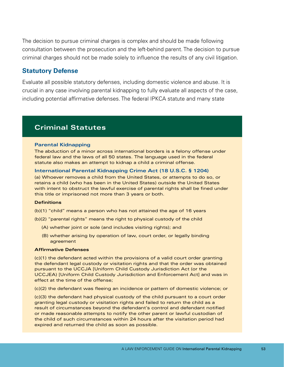The decision to pursue criminal charges is complex and should be made following consultation between the prosecution and the left-behind parent. The decision to pursue criminal charges should not be made solely to influence the results of any civil litigation.

#### **Statutory Defense**

Evaluate all possible statutory defenses, including domestic violence and abuse. It is crucial in any case involving parental kidnapping to fully evaluate all aspects of the case, including potential affirmative defenses. The federal IPKCA statute and many state

## **Criminal Statutes**

#### **Parental Kidnapping**

The abduction of a minor across international borders is a felony offense under federal law and the laws of all 50 states. The language used in the federal statute also makes an attempt to kidnap a child a criminal offense.

#### **International Parental Kidnapping Crime Act (18 U.S.C. § 1204)**

(a) Whoever removes a child from the United States, or attempts to do so, or retains a child (who has been in the United States) outside the United States with intent to obstruct the lawful exercise of parental rights shall be fined under this title or imprisoned not more than 3 years or both.

#### **Definitions**

(b)(1) "child" means a person who has not attained the age of 16 years

(b)(2) "parental rights" means the right to physical custody of the child

- (A) whether joint or sole (and includes visiting rights); and
- (B) whether arising by operation of law, court order, or legally binding agreement

#### **Affirmative Defenses**

(c)(1) the defendant acted within the provisions of a valid court order granting the defendant legal custody or visitation rights and that the order was obtained pursuant to the UCCJA [Uniform Child Custody Jurisdiction Act (or the UCCJEA) [Uniform Child Custody Jurisdiction and Enforcement Act] and was in effect at the time of the offense;

(c)(2) the defendant was fleeing an incidence or pattern of domestic violence; or

(c)(3) the defendant had physical custody of the child pursuant to a court order granting legal custody or visitation rights and failed to return the child as a result of circumstances beyond the defendant's control and defendant notified or made reasonable attempts to notify the other parent or lawful custodian of the child of such circumstances within 24 hours after the visitation period had expired and returned the child as soon as possible.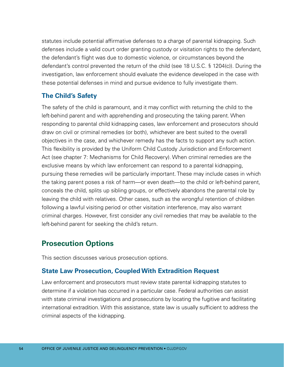statutes include potential affirmative defenses to a charge of parental kidnapping. Such defenses include a valid court order granting custody or visitation rights to the defendant, the defendant's flight was due to domestic violence, or circumstances beyond the defendant's control prevented the return of the child (see 18 U.S.C. § 1204(c)). During the investigation, law enforcement should evaluate the evidence developed in the case with these potential defenses in mind and pursue evidence to fully investigate them.

#### **The Child's Safety**

The safety of the child is paramount, and it may conflict with returning the child to the left-behind parent and with apprehending and prosecuting the taking parent. When responding to parental child kidnapping cases, law enforcement and prosecutors should draw on civil or criminal remedies (or both), whichever are best suited to the overall objectives in the case, and whichever remedy has the facts to support any such action. This flexibility is provided by the Uniform Child Custody Jurisdiction and Enforcement Act (see chapter 7: Mechanisms for Child Recovery). When criminal remedies are the exclusive means by which law enforcement can respond to a parental kidnapping, pursuing these remedies will be particularly important. These may include cases in which the taking parent poses a risk of harm—or even death—to the child or left-behind parent, conceals the child, splits up sibling groups, or effectively abandons the parental role by leaving the child with relatives. Other cases, such as the wrongful retention of children following a lawful visiting period or other visitation interference, may also warrant criminal charges. However, first consider any civil remedies that may be available to the left-behind parent for seeking the child's return.

# **Prosecution Options**

This section discusses various prosecution options.

#### **State Law Prosecution, Coupled With Extradition Request**

Law enforcement and prosecutors must review state parental kidnapping statutes to determine if a violation has occurred in a particular case. Federal authorities can assist with state criminal investigations and prosecutions by locating the fugitive and facilitating international extradition. With this assistance, state law is usually sufficient to address the criminal aspects of the kidnapping.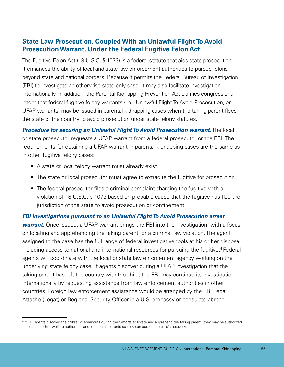### **State Law Prosecution, Coupled With an Unlawful Flight To Avoid Prosecution Warrant, Under the Federal Fugitive Felon Act**

The Fugitive Felon Act (18 U.S.C. § 1073) is a federal statute that aids state prosecution. It enhances the ability of local and state law enforcement authorities to pursue felons beyond state and national borders. Because it permits the Federal Bureau of Investigation (FBI) to investigate an otherwise state-only case, it may also facilitate investigation internationally. In addition, the Parental Kidnapping Prevention Act clarifies congressional intent that federal fugitive felony warrants (i.e., Unlawful Flight To Avoid Prosecution, or UFAP warrants) may be issued in parental kidnapping cases when the taking parent flees the state or the country to avoid prosecution under state felony statutes.

*Procedure for securing an Unlawful Flight To Avoid Prosecution warrant.* The local or state prosecutor requests a UFAP warrant from a federal prosecutor or the FBI. The requirements for obtaining a UFAP warrant in parental kidnapping cases are the same as in other fugitive felony cases:

- A state or local felony warrant must already exist.
- The state or local prosecutor must agree to extradite the fugitive for prosecution.
- The federal prosecutor files a criminal complaint charging the fugitive with a violation of 18 U.S.C. § 1073 based on probable cause that the fugitive has fled the jurisdiction of the state to avoid prosecution or confinement.

#### *FBI investigations pursuant to an Unlawful Flight To Avoid Prosecution arrest*

*warrant.* Once issued, a UFAP warrant brings the FBI into the investigation, with a focus on locating and apprehending the taking parent for a criminal law violation. The agent assigned to the case has the full range of federal investigative tools at his or her disposal, including access to national and international resources for pursuing the fugitive.<sup>4</sup> Federal agents will coordinate with the local or state law enforcement agency working on the underlying state felony case. If agents discover during a UFAP investigation that the taking parent has left the country with the child, the FBI may continue its investigation internationally by requesting assistance from law enforcement authorities in other countries. Foreign law enforcement assistance would be arranged by the FBI Legal Attaché (Legat) or Regional Security Officer in a U.S. embassy or consulate abroad.

<sup>4</sup> If FBI agents discover the child's whereabouts during their efforts to locate and apprehend the taking parent, they may be authorized to alert local child welfare authorities and left-behind parents so they can pursue the child's recovery.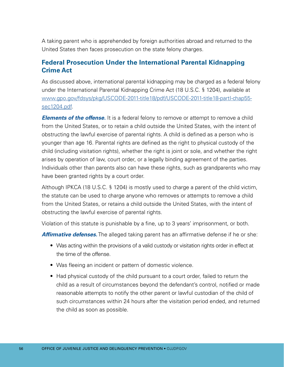A taking parent who is apprehended by foreign authorities abroad and returned to the United States then faces prosecution on the state felony charges.

#### **Federal Prosecution Under the International Parental Kidnapping Crime Act**

As discussed above, international parental kidnapping may be charged as a federal felony under the International Parental Kidnapping Crime Act (18 U.S.C. § 1204), available at [www.gpo.gov/fdsys/pkg/USCODE-2011-title18/pdf/USCODE-2011-title18-partI-chap55](http://www.gpo.gov/fdsys/pkg/USCODE-2011-title18/pdf/USCODE-2011-title18-partI-chap55-sec1204.pdf) [sec1204.pdf.](http://www.gpo.gov/fdsys/pkg/USCODE-2011-title18/pdf/USCODE-2011-title18-partI-chap55-sec1204.pdf)

*Elements of the offense.* It is a federal felony to remove or attempt to remove a child from the United States, or to retain a child outside the United States, with the intent of obstructing the lawful exercise of parental rights. A child is defined as a person who is younger than age 16. Parental rights are defined as the right to physical custody of the child (including visitation rights), whether the right is joint or sole, and whether the right arises by operation of law, court order, or a legally binding agreement of the parties. Individuals other than parents also can have these rights, such as grandparents who may have been granted rights by a court order.

Although IPKCA (18 U.S.C. § 1204) is mostly used to charge a parent of the child victim, the statute can be used to charge anyone who removes or attempts to remove a child from the United States, or retains a child outside the United States, with the intent of obstructing the lawful exercise of parental rights.

Violation of this statute is punishable by a fine, up to 3 years' imprisonment, or both.

**Affirmative defenses.** The alleged taking parent has an affirmative defense if he or she:

- Was acting within the provisions of a valid custody or visitation rights order in effect at the time of the offense.
- Was fleeing an incident or pattern of domestic violence.
- Had physical custody of the child pursuant to a court order, failed to return the child as a result of circumstances beyond the defendant's control, notified or made reasonable attempts to notify the other parent or lawful custodian of the child of such circumstances within 24 hours after the visitation period ended, and returned the child as soon as possible.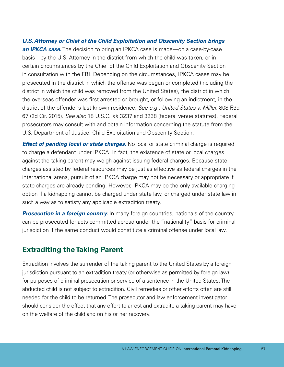*U.S. Attorney or Chief of the Child Exploitation and Obscenity Section brings an IPKCA case.* The decision to bring an IPKCA case is made—on a case-by-case basis—by the U.S. Attorney in the district from which the child was taken, or in certain circumstances by the Chief of the Child Exploitation and Obscenity Section in consultation with the FBI. Depending on the circumstances, IPKCA cases may be prosecuted in the district in which the offense was begun or completed (including the district in which the child was removed from the United States), the district in which the overseas offender was first arrested or brought, or following an indictment, in the district of the offender's last known residence. *See e.g., United States v. Miller,* 808 F.3d 67 (2d Cir. 2015). *See also* 18 U.S.C. §§ 3237 and 3238 (federal venue statutes). Federal prosecutors may consult with and obtain information concerning the statute from the U.S. Department of Justice, Child Exploitation and Obscenity Section.

*Effect of pending local or state charges.* No local or state criminal charge is required to charge a defendant under IPKCA. In fact, the existence of state or local charges against the taking parent may weigh against issuing federal charges. Because state charges assisted by federal resources may be just as effective as federal charges in the international arena, pursuit of an IPKCA charge may not be necessary or appropriate if state charges are already pending. However, IPKCA may be the only available charging option if a kidnapping cannot be charged under state law, or charged under state law in such a way as to satisfy any applicable extradition treaty.

**Prosecution in a foreign country.** In many foreign countries, nationals of the country can be prosecuted for acts committed abroad under the "nationality" basis for criminal jurisdiction if the same conduct would constitute a criminal offense under local law.

# **Extraditing the Taking Parent**

Extradition involves the surrender of the taking parent to the United States by a foreign jurisdiction pursuant to an extradition treaty (or otherwise as permitted by foreign law) for purposes of criminal prosecution or service of a sentence in the United States. The abducted child is not subject to extradition. Civil remedies or other efforts often are still needed for the child to be returned. The prosecutor and law enforcement investigator should consider the effect that any effort to arrest and extradite a taking parent may have on the welfare of the child and on his or her recovery.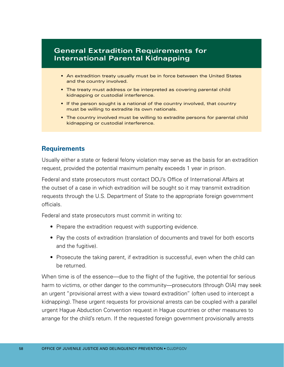## **General Extradition Requirements for International Parental Kidnapping**

- An extradition treaty usually must be in force between the United States and the country involved.
- The treaty must address or be interpreted as covering parental child kidnapping or custodial interference.
- If the person sought is a national of the country involved, that country must be willing to extradite its own nationals.
- The country involved must be willing to extradite persons for parental child kidnapping or custodial interference.

#### **Requirements**

Usually either a state or federal felony violation may serve as the basis for an extradition request, provided the potential maximum penalty exceeds 1 year in prison.

Federal and state prosecutors must contact DOJ's Office of International Affairs at the outset of a case in which extradition will be sought so it may transmit extradition requests through the U.S. Department of State to the appropriate foreign government officials.

Federal and state prosecutors must commit in writing to:

- Prepare the extradition request with supporting evidence.
- Pay the costs of extradition (translation of documents and travel for both escorts and the fugitive).
- Prosecute the taking parent, if extradition is successful, even when the child can be returned.

When time is of the essence—due to the flight of the fugitive, the potential for serious harm to victims, or other danger to the community—prosecutors (through OIA) may seek an urgent "provisional arrest with a view toward extradition" (often used to intercept a kidnapping). These urgent requests for provisional arrests can be coupled with a parallel urgent Hague Abduction Convention request in Hague countries or other measures to arrange for the child's return. If the requested foreign government provisionally arrests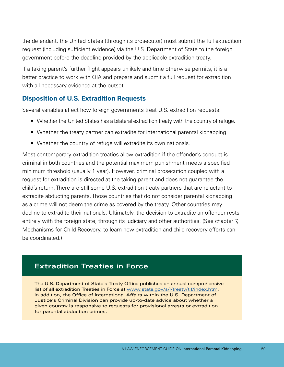the defendant, the United States (through its prosecutor) must submit the full extradition request (including sufficient evidence) via the U.S. Department of State to the foreign government before the deadline provided by the applicable extradition treaty.

If a taking parent's further flight appears unlikely and time otherwise permits, it is a better practice to work with OIA and prepare and submit a full request for extradition with all necessary evidence at the outset.

#### **Disposition of U.S. Extradition Requests**

Several variables affect how foreign governments treat U.S. extradition requests:

- Whether the United States has a bilateral extradition treaty with the country of refuge.
- Whether the treaty partner can extradite for international parental kidnapping.
- Whether the country of refuge will extradite its own nationals.

Most contemporary extradition treaties allow extradition if the offender's conduct is criminal in both countries and the potential maximum punishment meets a specified minimum threshold (usually 1 year). However, criminal prosecution coupled with a request for extradition is directed at the taking parent and does not guarantee the child's return. There are still some U.S. extradition treaty partners that are reluctant to extradite abducting parents. Those countries that do not consider parental kidnapping as a crime will not deem the crime as covered by the treaty. Other countries may decline to extradite their nationals. Ultimately, the decision to extradite an offender rests entirely with the foreign state, through its judiciary and other authorities. (See chapter 7, Mechanisms for Child Recovery, to learn how extradition and child recovery efforts can be coordinated.)

## **Extradition Treaties in Force**

The U.S. Department of State's Treaty Office publishes an annual comprehensive list of all extradition Treaties in Force at [www.state.gov/s/l/treaty/tif/index.htm](http://www.state.gov/s/l/treaty/tif/index.htm). In addition, the Office of International Affairs within the U.S. Department of Justice's Criminal Division can provide up-to-date advice about whether a given country is responsive to requests for provisional arrests or extradition for parental abduction crimes.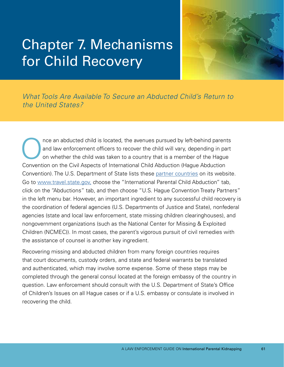# Chapter 7. Mechanisms for Child Recovery



*What Tools Are Available To Secure an Abducted Child's Return to the United States?* 

nce an abducted child is located, the avenues pursued by left-behind parents and law enforcement officers to recover the child will vary, depending in part on whether the child was taken to a country that is a member of the Hague Convention on the Civil Aspects of International Child Abduction (Hague Abduction Convention). The U.S. Department of State lists these [partner countries](https://travel.state.gov/content/travel/en/International-Parental-Child-Abduction/abductions/hague-abduction-country-list.html) on its website. Go to [www.travel.state.gov,](http://www.travel.state.gov) choose the "International Parental Child Abduction" tab, click on the "Abductions" tab, and then choose "U.S. Hague Convention Treaty Partners" in the left menu bar. However, an important ingredient to any successful child recovery is the coordination of federal agencies (U.S. Departments of Justice and State), nonfederal agencies (state and local law enforcement, state missing children clearinghouses), and nongovernment organizations (such as the National Center for Missing & Exploited Children (NCMEC)). In most cases, the parent's vigorous pursuit of civil remedies with the assistance of counsel is another key ingredient.

Recovering missing and abducted children from many foreign countries requires that court documents, custody orders, and state and federal warrants be translated and authenticated, which may involve some expense. Some of these steps may be completed through the general consul located at the foreign embassy of the country in question. Law enforcement should consult with the U.S. Department of State's Office of Children's Issues on all Hague cases or if a U.S. embassy or consulate is involved in recovering the child.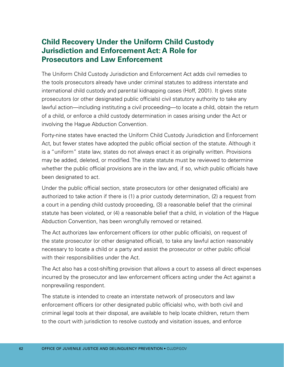# **Child Recovery Under the Uniform Child Custody Jurisdiction and Enforcement Act: A Role for Prosecutors and Law Enforcement**

The Uniform Child Custody Jurisdiction and Enforcement Act adds civil remedies to the tools prosecutors already have under criminal statutes to address interstate and international child custody and parental kidnapping cases (Hoff, 2001). It gives state prosecutors (or other designated public officials) civil statutory authority to take any lawful action—including instituting a civil proceeding—to locate a child, obtain the return of a child, or enforce a child custody determination in cases arising under the Act or involving the Hague Abduction Convention.

Forty-nine states have enacted the Uniform Child Custody Jurisdiction and Enforcement Act, but fewer states have adopted the public official section of the statute. Although it is a "uniform" state law, states do not always enact it as originally written. Provisions may be added, deleted, or modified. The state statute must be reviewed to determine whether the public official provisions are in the law and, if so, which public officials have been designated to act.

Under the public official section, state prosecutors (or other designated officials) are authorized to take action if there is (1) a prior custody determination, (2) a request from a court in a pending child custody proceeding, (3) a reasonable belief that the criminal statute has been violated, or (4) a reasonable belief that a child, in violation of the Hague Abduction Convention, has been wrongfully removed or retained.

The Act authorizes law enforcement officers (or other public officials), on request of the state prosecutor (or other designated official), to take any lawful action reasonably necessary to locate a child or a party and assist the prosecutor or other public official with their responsibilities under the Act.

The Act also has a cost-shifting provision that allows a court to assess all direct expenses incurred by the prosecutor and law enforcement officers acting under the Act against a nonprevailing respondent.

The statute is intended to create an interstate network of prosecutors and law enforcement officers (or other designated public officials) who, with both civil and criminal legal tools at their disposal, are available to help locate children, return them to the court with jurisdiction to resolve custody and visitation issues, and enforce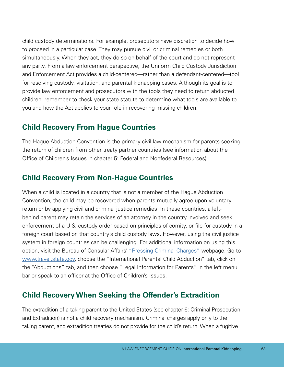child custody determinations. For example, prosecutors have discretion to decide how to proceed in a particular case. They may pursue civil or criminal remedies or both simultaneously. When they act, they do so on behalf of the court and do not represent any party. From a law enforcement perspective, the Uniform Child Custody Jurisdiction and Enforcement Act provides a child-centered—rather than a defendant-centered—tool for resolving custody, visitation, and parental kidnapping cases. Although its goal is to provide law enforcement and prosecutors with the tools they need to return abducted children, remember to check your state statute to determine what tools are available to you and how the Act applies to your role in recovering missing children.

### **Child Recovery From Hague Countries**

The Hague Abduction Convention is the primary civil law mechanism for parents seeking the return of children from other treaty partner countries (see information about the Office of Children's Issues in chapter 5: Federal and Nonfederal Resources).

## **Child Recovery From Non-Hague Countries**

When a child is located in a country that is not a member of the Hague Abduction Convention, the child may be recovered when parents mutually agree upon voluntary return or by applying civil and criminal justice remedies. In these countries, a leftbehind parent may retain the services of an attorney in the country involved and seek enforcement of a U.S. custody order based on principles of comity, or file for custody in a foreign court based on that country's child custody laws. However, using the civil justice system in foreign countries can be challenging. For additional information on using this option, visit the Bureau of Consular Affairs' ["Pressing Criminal Charges"](https://travel.state.gov/content/travel/en/International-Parental-Child-Abduction/abductions/legain-info-for-parents.html) webpage. Go to [www.travel.state.gov](http://www.travel.state.gov), choose the "International Parental Child Abduction" tab, click on the "Abductions" tab, and then choose "Legal Information for Parents" in the left menu bar or speak to an officer at the Office of Children's Issues.

## **Child Recovery When Seeking the Offender's Extradition**

The extradition of a taking parent to the United States (see chapter 6: Criminal Prosecution and Extradition) is not a child recovery mechanism. Criminal charges apply only to the taking parent, and extradition treaties do not provide for the child's return. When a fugitive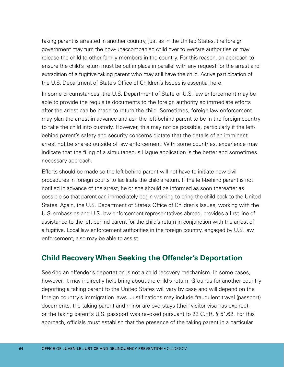taking parent is arrested in another country, just as in the United States, the foreign government may turn the now-unaccompanied child over to welfare authorities or may release the child to other family members in the country. For this reason, an approach to ensure the child's return must be put in place in parallel with any request for the arrest and extradition of a fugitive taking parent who may still have the child. Active participation of the U.S. Department of State's Office of Children's Issues is essential here.

In some circumstances, the U.S. Department of State or U.S. law enforcement may be able to provide the requisite documents to the foreign authority so immediate efforts after the arrest can be made to return the child. Sometimes, foreign law enforcement may plan the arrest in advance and ask the left-behind parent to be in the foreign country to take the child into custody. However, this may not be possible, particularly if the leftbehind parent's safety and security concerns dictate that the details of an imminent arrest not be shared outside of law enforcement. With some countries, experience may indicate that the filing of a simultaneous Hague application is the better and sometimes necessary approach.

Efforts should be made so the left-behind parent will not have to initiate new civil procedures in foreign courts to facilitate the child's return. If the left-behind parent is not notified in advance of the arrest, he or she should be informed as soon thereafter as possible so that parent can immediately begin working to bring the child back to the United States. Again, the U.S. Department of State's Office of Children's Issues, working with the U.S. embassies and U.S. law enforcement representatives abroad, provides a first line of assistance to the left-behind parent for the child's return in conjunction with the arrest of a fugitive. Local law enforcement authorities in the foreign country, engaged by U.S. law enforcement, also may be able to assist.

## **Child Recovery When Seeking the Offender's Deportation**

Seeking an offender's deportation is not a child recovery mechanism. In some cases, however, it may indirectly help bring about the child's return. Grounds for another country deporting a taking parent to the United States will vary by case and will depend on the foreign country's immigration laws. Justifications may include fraudulent travel (passport) documents, the taking parent and minor are overstays (their visitor visa has expired), or the taking parent's U.S. passport was revoked pursuant to 22 C.F.R. § 51.62. For this approach, officials must establish that the presence of the taking parent in a particular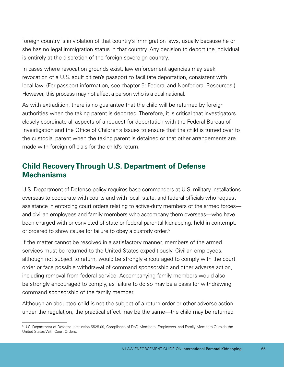foreign country is in violation of that country's immigration laws, usually because he or she has no legal immigration status in that country. Any decision to deport the individual is entirely at the discretion of the foreign sovereign country.

In cases where revocation grounds exist, law enforcement agencies may seek revocation of a U.S. adult citizen's passport to facilitate deportation, consistent with local law. (For passport information, see chapter 5: Federal and Nonfederal Resources.) However, this process may not affect a person who is a dual national.

As with extradition, there is no guarantee that the child will be returned by foreign authorities when the taking parent is deported. Therefore, it is critical that investigators closely coordinate all aspects of a request for deportation with the Federal Bureau of Investigation and the Office of Children's Issues to ensure that the child is turned over to the custodial parent when the taking parent is detained or that other arrangements are made with foreign officials for the child's return.

## **Child Recovery Through U.S. Department of Defense Mechanisms**

U.S. Department of Defense policy requires base commanders at U.S. military installations overseas to cooperate with courts and with local, state, and federal officials who request assistance in enforcing court orders relating to active-duty members of the armed forces and civilian employees and family members who accompany them overseas—who have been charged with or convicted of state or federal parental kidnapping, held in contempt, or ordered to show cause for failure to obey a custody order.<sup>5</sup>

If the matter cannot be resolved in a satisfactory manner, members of the armed services must be returned to the United States expeditiously. Civilian employees, although not subject to return, would be strongly encouraged to comply with the court order or face possible withdrawal of command sponsorship and other adverse action, including removal from federal service. Accompanying family members would also be strongly encouraged to comply, as failure to do so may be a basis for withdrawing command sponsorship of the family member.

Although an abducted child is not the subject of a return order or other adverse action under the regulation, the practical effect may be the same—the child may be returned

<sup>5</sup> U.S. Department of Defense Instruction 5525.09, Compliance of DoD Members, Employees, and Family Members Outside the United States With Court Orders.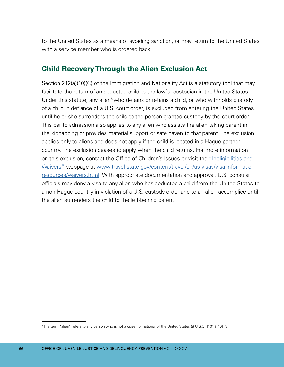to the United States as a means of avoiding sanction, or may return to the United States with a service member who is ordered back.

### **Child Recovery Through the Alien Exclusion Act**

Section 212(a)(10)(C) of the Immigration and Nationality Act is a statutory tool that may facilitate the return of an abducted child to the lawful custodian in the United States. Under this statute, any alien<sup>6</sup> who detains or retains a child, or who withholds custody of a child in defiance of a U.S. court order, is excluded from entering the United States until he or she surrenders the child to the person granted custody by the court order. This bar to admission also applies to any alien who assists the alien taking parent in the kidnapping or provides material support or safe haven to that parent. The exclusion applies only to aliens and does not apply if the child is located in a Hague partner country. The exclusion ceases to apply when the child returns. For more information on this exclusion, contact the Office of Children's Issues or visit the ["Ineligibilities and](https://travel.state.gov/content/travel/en/us-visas/visa-information-resources/waivers.html)  [Waivers"](https://travel.state.gov/content/travel/en/us-visas/visa-information-resources/waivers.html) webpage at [www.travel.state.gov/content/travel/en/us-visas/visa-information](http://www.travel.state.gov/content/travel/en/us-visas/visa-information-resources/waivers.html)[resources/waivers.html](http://www.travel.state.gov/content/travel/en/us-visas/visa-information-resources/waivers.html). With appropriate documentation and approval, U.S. consular officials may deny a visa to any alien who has abducted a child from the United States to a non-Hague country in violation of a U.S. custody order and to an alien accomplice until the alien surrenders the child to the left-behind parent.

<sup>6</sup> The term "alien" refers to any person who is not a citizen or national of the United States (8 U.S.C. 1101 § 101 (3)).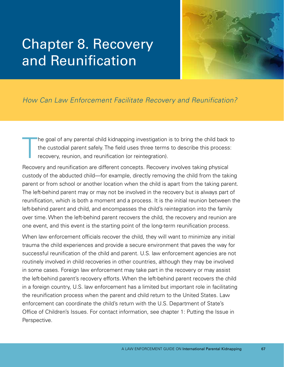## Chapter 8. Recovery and Reunification



## *How Can Law Enforcement Facilitate Recovery and Reunification?*

T he goal of any parental child kidnapping investigation is to bring the child back to the custodial parent safely. The field uses three terms to describe this process: recovery, reunion, and reunification (or reintegration).

Recovery and reunification are different concepts. Recovery involves taking physical custody of the abducted child—for example, directly removing the child from the taking parent or from school or another location when the child is apart from the taking parent. The left-behind parent may or may not be involved in the recovery but is always part of reunification, which is both a moment and a process. It is the initial reunion between the left-behind parent and child, and encompasses the child's reintegration into the family over time. When the left-behind parent recovers the child, the recovery and reunion are one event, and this event is the starting point of the long-term reunification process.

When law enforcement officials recover the child, they will want to minimize any initial trauma the child experiences and provide a secure environment that paves the way for successful reunification of the child and parent. U.S. law enforcement agencies are not routinely involved in child recoveries in other countries, although they may be involved in some cases. Foreign law enforcement may take part in the recovery or may assist the left-behind parent's recovery efforts. When the left-behind parent recovers the child in a foreign country, U.S. law enforcement has a limited but important role in facilitating the reunification process when the parent and child return to the United States. Law enforcement can coordinate the child's return with the U.S. Department of State's Office of Children's Issues. For contact information, see chapter 1: Putting the Issue in Perspective.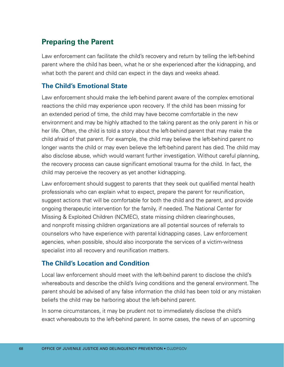## **Preparing the Parent**

Law enforcement can facilitate the child's recovery and return by telling the left-behind parent where the child has been, what he or she experienced after the kidnapping, and what both the parent and child can expect in the days and weeks ahead.

#### **The Child's Emotional State**

Law enforcement should make the left-behind parent aware of the complex emotional reactions the child may experience upon recovery. If the child has been missing for an extended period of time, the child may have become comfortable in the new environment and may be highly attached to the taking parent as the only parent in his or her life. Often, the child is told a story about the left-behind parent that may make the child afraid of that parent. For example, the child may believe the left-behind parent no longer wants the child or may even believe the left-behind parent has died. The child may also disclose abuse, which would warrant further investigation. Without careful planning, the recovery process can cause significant emotional trauma for the child. In fact, the child may perceive the recovery as yet another kidnapping.

Law enforcement should suggest to parents that they seek out qualified mental health professionals who can explain what to expect, prepare the parent for reunification, suggest actions that will be comfortable for both the child and the parent, and provide ongoing therapeutic intervention for the family, if needed. The National Center for Missing & Exploited Children (NCMEC), state missing children clearinghouses, and nonprofit missing children organizations are all potential sources of referrals to counselors who have experience with parental kidnapping cases. Law enforcement agencies, when possible, should also incorporate the services of a victim-witness specialist into all recovery and reunification matters.

#### **The Child's Location and Condition**

Local law enforcement should meet with the left-behind parent to disclose the child's whereabouts and describe the child's living conditions and the general environment. The parent should be advised of any false information the child has been told or any mistaken beliefs the child may be harboring about the left-behind parent.

In some circumstances, it may be prudent not to immediately disclose the child's exact whereabouts to the left-behind parent. In some cases, the news of an upcoming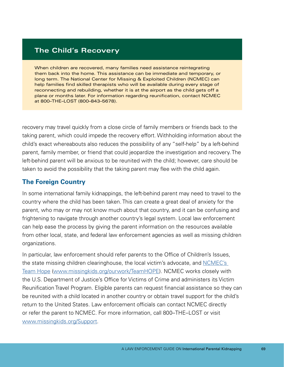#### **The Child's Recovery**

When children are recovered, many families need assistance reintegrating them back into the home. This assistance can be immediate and temporary, or long term. The National Center for Missing & Exploited Children (NCMEC) can help families find skilled therapists who will be available during every stage of reconnecting and rebuilding, whether it is at the airport as the child gets off a plane or months later. For information regarding reunification, contact NCMEC at 800–THE–LOST (800–843–5678).

recovery may travel quickly from a close circle of family members or friends back to the taking parent, which could impede the recovery effort. Withholding information about the child's exact whereabouts also reduces the possibility of any "self-help" by a left-behind parent, family member, or friend that could jeopardize the investigation and recovery. The left-behind parent will be anxious to be reunited with the child; however, care should be taken to avoid the possibility that the taking parent may flee with the child again.

#### **The Foreign Country**

In some international family kidnappings, the left-behind parent may need to travel to the country where the child has been taken. This can create a great deal of anxiety for the parent, who may or may not know much about that country, and it can be confusing and frightening to navigate through another country's legal system. Local law enforcement can help ease the process by giving the parent information on the resources available from other local, state, and federal law enforcement agencies as well as missing children organizations.

In particular, law enforcement should refer parents to the Office of Children's Issues, the state missing children clearinghouse, the local victim's advocate, and [NCMEC's](http://www.missingkids.org/ourwork/TeamHOPE)  [Team Hope \(www.missingkids.org/ourwork/TeamHOPE](http://www.missingkids.org/ourwork/TeamHOPE)). NCMEC works closely with the U.S. Department of Justice's Office for Victims of Crime and administers its Victim Reunification Travel Program. Eligible parents can request financial assistance so they can be reunited with a child located in another country or obtain travel support for the child's return to the United States. Law enforcement officials can contact NCMEC directly or refer the parent to NCMEC. For more information, call 800–THE–LOST or visit [www.missingkids.org/Support](http://www.missingkids.org/Support).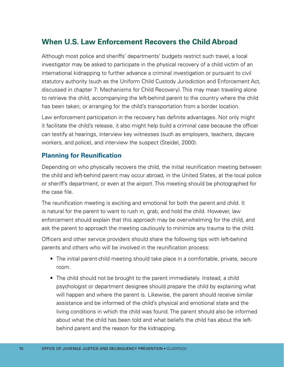## **When U.S. Law Enforcement Recovers the Child Abroad**

Although most police and sheriffs' departments' budgets restrict such travel, a local investigator may be asked to participate in the physical recovery of a child victim of an international kidnapping to further advance a criminal investigation or pursuant to civil statutory authority (such as the Uniform Child Custody Jurisdiction and Enforcement Act, discussed in chapter 7: Mechanisms for Child Recovery). This may mean traveling alone to retrieve the child, accompanying the left-behind parent to the country where the child has been taken, or arranging for the child's transportation from a border location.

Law enforcement participation in the recovery has definite advantages. Not only might it facilitate the child's release, it also might help build a criminal case because the officer can testify at hearings, interview key witnesses (such as employers, teachers, daycare workers, and police), and interview the suspect (Steidel, 2000).

#### **Planning for Reunification**

Depending on who physically recovers the child, the initial reunification meeting between the child and left-behind parent may occur abroad, in the United States, at the local police or sheriff's department, or even at the airport. This meeting should be photographed for the case file.

The reunification meeting is exciting and emotional for both the parent and child. It is natural for the parent to want to rush in, grab, and hold the child. However, law enforcement should explain that this approach may be overwhelming for the child, and ask the parent to approach the meeting cautiously to minimize any trauma to the child.

Officers and other service providers should share the following tips with left-behind parents and others who will be involved in the reunification process:

- The initial parent-child meeting should take place in a comfortable, private, secure room.
- The child should not be brought to the parent immediately. Instead, a child psychologist or department designee should prepare the child by explaining what will happen and where the parent is. Likewise, the parent should receive similar assistance and be informed of the child's physical and emotional state and the living conditions in which the child was found. The parent should also be informed about what the child has been told and what beliefs the child has about the leftbehind parent and the reason for the kidnapping.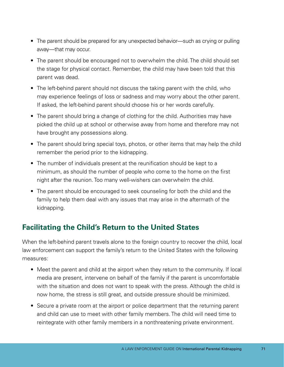- The parent should be prepared for any unexpected behavior—such as crying or pulling away—that may occur.
- The parent should be encouraged not to overwhelm the child. The child should set the stage for physical contact. Remember, the child may have been told that this parent was dead.
- The left-behind parent should not discuss the taking parent with the child, who may experience feelings of loss or sadness and may worry about the other parent. If asked, the left-behind parent should choose his or her words carefully.
- The parent should bring a change of clothing for the child. Authorities may have picked the child up at school or otherwise away from home and therefore may not have brought any possessions along.
- The parent should bring special toys, photos, or other items that may help the child remember the period prior to the kidnapping.
- The number of individuals present at the reunification should be kept to a minimum, as should the number of people who come to the home on the first night after the reunion. Too many well-wishers can overwhelm the child.
- The parent should be encouraged to seek counseling for both the child and the family to help them deal with any issues that may arise in the aftermath of the kidnapping.

## **Facilitating the Child's Return to the United States**

When the left-behind parent travels alone to the foreign country to recover the child, local law enforcement can support the family's return to the United States with the following measures:

- Meet the parent and child at the airport when they return to the community. If local media are present, intervene on behalf of the family if the parent is uncomfortable with the situation and does not want to speak with the press. Although the child is now home, the stress is still great, and outside pressure should be minimized.
- Secure a private room at the airport or police department that the returning parent and child can use to meet with other family members. The child will need time to reintegrate with other family members in a nonthreatening private environment.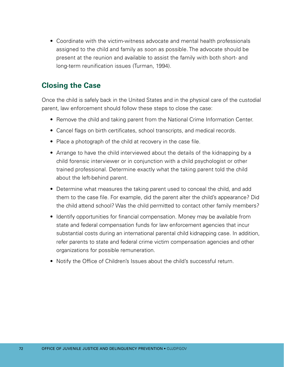• Coordinate with the victim-witness advocate and mental health professionals assigned to the child and family as soon as possible. The advocate should be present at the reunion and available to assist the family with both short- and long-term reunification issues (Turman, 1994).

## **Closing the Case**

Once the child is safely back in the United States and in the physical care of the custodial parent, law enforcement should follow these steps to close the case:

- Remove the child and taking parent from the National Crime Information Center.
- Cancel flags on birth certificates, school transcripts, and medical records.
- Place a photograph of the child at recovery in the case file.
- Arrange to have the child interviewed about the details of the kidnapping by a child forensic interviewer or in conjunction with a child psychologist or other trained professional. Determine exactly what the taking parent told the child about the left-behind parent.
- Determine what measures the taking parent used to conceal the child, and add them to the case file. For example, did the parent alter the child's appearance? Did the child attend school? Was the child permitted to contact other family members?
- Identify opportunities for financial compensation. Money may be available from state and federal compensation funds for law enforcement agencies that incur substantial costs during an international parental child kidnapping case. In addition, refer parents to state and federal crime victim compensation agencies and other organizations for possible remuneration.
- Notify the Office of Children's Issues about the child's successful return.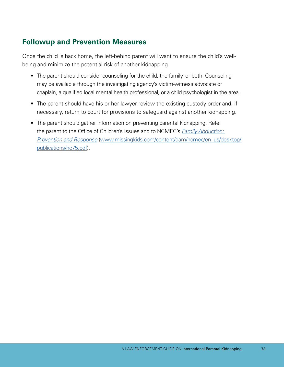## **Followup and Prevention Measures**

Once the child is back home, the left-behind parent will want to ensure the child's wellbeing and minimize the potential risk of another kidnapping.

- The parent should consider counseling for the child, the family, or both. Counseling may be available through the investigating agency's victim-witness advocate or chaplain, a qualified local mental health professional, or a child psychologist in the area.
- The parent should have his or her lawyer review the existing custody order and, if necessary, return to court for provisions to safeguard against another kidnapping.
- The parent should gather information on preventing parental kidnapping. Refer the parent to the Office of Children's Issues and to NCMEC's *[Family Abduction:](http://www.missingkids.com/content/dam/ncmec/en_us/desktop/publications/nc75.pdf)  [Prevention and Response](http://www.missingkids.com/content/dam/ncmec/en_us/desktop/publications/nc75.pdf)* [\(www.missingkids.com/content/dam/ncmec/en\\_us/desktop/](http://www.missingkids.com/content/dam/ncmec/en_us/desktop/publications/nc75.pdf)  [publications/nc75.pdf\)](http://www.missingkids.com/content/dam/ncmec/en_us/desktop/publications/nc75.pdf).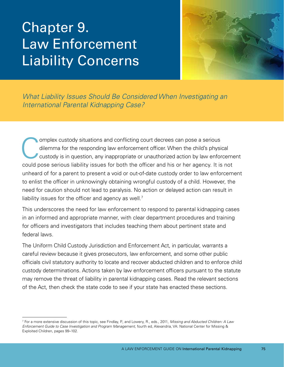# Chapter 9. Law Enforcement Liability Concerns



*What Liability Issues Should Be Considered When Investigating an International Parental Kidnapping Case?* 

Omplex custody situations and conflicting court decrees can pose a serious<br>dilemma for the responding law enforcement officer. When the child's physicustody is in question, any inappropriate or unauthorized action by law e dilemma for the responding law enforcement officer. When the child's physical custody is in question, any inappropriate or unauthorized action by law enforcement could pose serious liability issues for both the officer and his or her agency. It is not unheard of for a parent to present a void or out-of-date custody order to law enforcement to enlist the officer in unknowingly obtaining wrongful custody of a child. However, the need for caution should not lead to paralysis. No action or delayed action can result in liability issues for the officer and agency as well.<sup>7</sup>

This underscores the need for law enforcement to respond to parental kidnapping cases in an informed and appropriate manner, with clear department procedures and training for officers and investigators that includes teaching them about pertinent state and federal laws.

The Uniform Child Custody Jurisdiction and Enforcement Act, in particular, warrants a careful review because it gives prosecutors, law enforcement, and some other public officials civil statutory authority to locate and recover abducted children and to enforce child custody determinations. Actions taken by law enforcement officers pursuant to the statute may remove the threat of liability in parental kidnapping cases. Read the relevant sections of the Act, then check the state code to see if your state has enacted these sections.

<sup>7</sup> For a more extensive discussion of this topic, see Findlay, P., and Lowery, R., eds., 2011, *Missing and Abducted Children: A Law Enforcement Guide to Case Investigation and Program Management,* fourth ed, Alexandria, VA: National Center for Missing & Exploited Children, pages 99–102.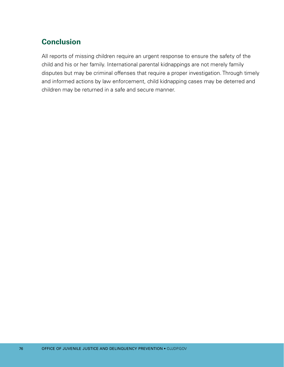## **Conclusion**

All reports of missing children require an urgent response to ensure the safety of the child and his or her family. International parental kidnappings are not merely family disputes but may be criminal offenses that require a proper investigation. Through timely and informed actions by law enforcement, child kidnapping cases may be deterred and children may be returned in a safe and secure manner.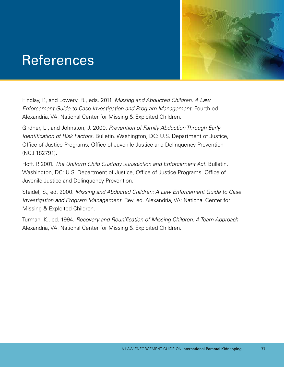## References



Findlay, P., and Lowery, R., eds. 2011. *Missing and Abducted Children: A Law Enforcement Guide to Case Investigation and Program Management.* Fourth ed. Alexandria, VA: National Center for Missing & Exploited Children.

Girdner, L., and Johnston, J. 2000. *Prevention of Family Abduction Through Early Identification of Risk Factors.* Bulletin. Washington, DC: U.S. Department of Justice, Office of Justice Programs, Office of Juvenile Justice and Delinquency Prevention (NCJ 182791).

Hoff, P. 2001. *The Uniform Child Custody Jurisdiction and Enforcement Act.* Bulletin. Washington, DC: U.S. Department of Justice, Office of Justice Programs, Office of Juvenile Justice and Delinquency Prevention.

Steidel, S., ed. 2000. *Missing and Abducted Children: A Law Enforcement Guide to Case Investigation and Program Management.* Rev. ed. Alexandria, VA: National Center for Missing & Exploited Children.

Turman, K., ed. 1994. *Recovery and Reunification of Missing Children: A Team Approach.*  Alexandria, VA: National Center for Missing & Exploited Children.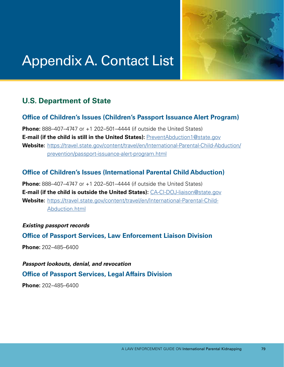

## Appendix A. Contact List

## **U.S. Department of State**

#### **Office of Children's Issues (Children's Passport Issuance Alert Program)**

**Phone:** 888–407–4747 or +1 202–501–4444 (if outside the United States) **E-mail (if the child is still in the United States):** [PreventAbduction1@state.gov](mailto:PreventAbduction1%40state.gov?subject=) Website: [https://travel.state.gov/content/travel/en/International-Parental-Child-Abduction/](https://travel.state.gov/content/travel/en/International-Parental-Child-Abduction/prevention/passport-issuance-alert-program.html) [prevention/passport-issuance-alert-program.html](https://travel.state.gov/content/travel/en/International-Parental-Child-Abduction/prevention/passport-issuance-alert-program.html) 

#### **Office of Children's Issues (International Parental Child Abduction)**

 **E-mail (if the child is outside the United States):** [CA-CI-DOJ-liaison@state.gov](mailto:CA-CI-DOJ-liaison%40state.gov?subject=) **Phone:** 888–407–4747 or +1 202–501–4444 (if outside the United States) Website: [https://travel.state.gov/content/travel/en/International-Parental-Child-](https://travel.state.gov/content/travel/en/International-Parental-Child-Abduction.html)[Abduction.html](https://travel.state.gov/content/travel/en/International-Parental-Child-Abduction.html)

#### *Existing passport records*

**Office of Passport Services, Law Enforcement Liaison Division** 

**Phone:** 202–485–6400

*Passport lookouts, denial, and revocation*  **Office of Passport Services, Legal Affairs Division** 

**Phone:** 202–485–6400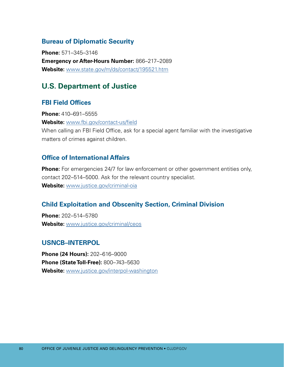#### **Bureau of Diplomatic Security**

**Phone:** 571–345–3146 **Emergency or After-Hours Number:** 866–217–2089 **Website:** [www.state.gov/m/ds/contact/195521.htm](http://www.state.gov/m/ds/contact/195521.htm)

## **U.S. Department of Justice**

#### **FBI Field Offices**

**Phone:** 410–691–5555

**Website:** [www.fbi.gov/contact-us/field](http://www.fbi.gov/contact-us/field)

When calling an FBI Field Office, ask for a special agent familiar with the investigative matters of crimes against children.

#### **Office of International Affairs**

**Phone:** For emergencies 24/7 for law enforcement or other government entities only, contact 202–514–5000. Ask for the relevant country specialist. **Website:** [www.justice.gov/criminal-oia](http://www.justice.gov/criminal-oia)

#### **Child Exploitation and Obscenity Section, Criminal Division**

**Phone:** 202–514–5780 **Website:** [www.justice.gov/criminal/ceos](http://www.justice.gov/criminal/ceos)

#### **USNCB–INTERPOL**

**Phone (24 Hours):** 202–616–9000 **Phone (State Toll-Free):** 800–743–5630 **Website:** [www.justice.gov/interpol-washington](http://www.justice.gov/interpol-washington)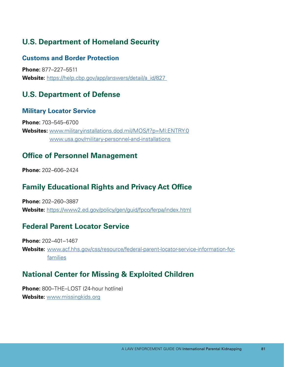## **U.S. Department of Homeland Security**

#### **Customs and Border Protection**

**Phone:** 877–227–5511 **Website:** [https://help.cbp.gov/app/answers/detail/a\\_id/827](https://help.cbp.gov/app/answers/detail/a_id/827) 

## **U.S. Department of Defense**

#### **Military Locator Service**

**Phone:** 703–545–6700 **Websites:** [www.militaryinstallations.dod.mil/MOS/f?p=MI:ENTRY:0](http://www.militaryinstallations.dod.mil/MOS/f?p=MI:ENTRY:0)  [www.usa.gov/military-personnel-and-installations](http://www.usa.gov/military-personnel-and-installations) 

### **Office of Personnel Management**

**Phone:** 202–606–2424

## **Family Educational Rights and Privacy Act Office**

**Phone:** 202–260–3887 **Website:** <https://www2.ed.gov/policy/gen/guid/fpco/ferpa/index.html>

## **Federal Parent Locator Service**

**Phone:** 202–401–1467 Website: [www.acf.hhs.gov/css/resource/federal-parent-locator-service-information-for](http://www.acf.hhs.gov/css/resource/federal-parent-locator-service-information-for-families)[families](http://www.acf.hhs.gov/css/resource/federal-parent-locator-service-information-for-families)

## **National Center for Missing & Exploited Children**

**Phone:** 800–THE–LOST (24-hour hotline) **Website:** [www.missingkids.org](http://www.missingkids.org)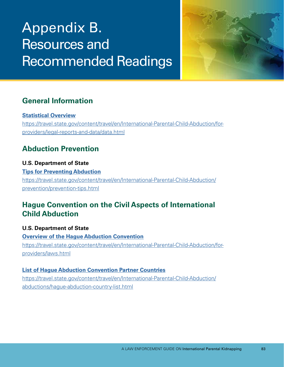# Appendix B. Resources and Recommended Readings



## **General Information**

#### **[Statistical Overview](https://travel.state.gov/content/travel/en/International-Parental-Child-Abduction/for-providers/legal-reports-and-data.html)**

[https://travel.state.gov/content/travel/en/International-Parental-Child-Abduction/for](https://travel.state.gov/content/travel/en/International-Parental-Child-Abduction/for-providers/legal-reports-and-data.html)[providers/legal-reports-and-data/data.html](https://travel.state.gov/content/travel/en/International-Parental-Child-Abduction/for-providers/legal-reports-and-data.html) 

## **Abduction Prevention**

#### **U.S. Department of State**

**[Tips for Preventing Abduction](https://travel.state.gov/content/travel/en/International-Parental-Child-Abduction/prevention/prevention-tips.html)**  [https://travel.state.gov/content/travel/en/International-Parental-Child-Abduction/](https://travel.state.gov/content/travel/en/International-Parental-Child-Abduction/prevention/prevention-tips.html)  [prevention/prevention-tips.html](https://travel.state.gov/content/travel/en/International-Parental-Child-Abduction/prevention/prevention-tips.html) 

## **Hague Convention on the Civil Aspects of International Child Abduction**

**U.S. Department of State [Overview of the Hague Abduction Convention](https://travel.state.gov/content/travel/en/International-Parental-Child-Abduction/for-providers/laws.html)**  [https://travel.state.gov/content/travel/en/International-Parental-Child-Abduction/for](https://travel.state.gov/content/travel/en/International-Parental-Child-Abduction/for-providers/laws.html)[providers/laws.html](https://travel.state.gov/content/travel/en/International-Parental-Child-Abduction/for-providers/laws.html)

#### **[List of Hague Abduction Convention Partner Countries](https://travel.state.gov/content/travel/en/International-Parental-Child-Abduction/abductions/hague-abduction-country-list.html)**

[https://travel.state.gov/content/travel/en/International-Parental-Child-Abduction/](https://travel.state.gov/content/travel/en/International-Parental-Child-Abduction/abductions/hague-abduction-country-list.html)  [abductions/hague-abduction-country-list.html](https://travel.state.gov/content/travel/en/International-Parental-Child-Abduction/abductions/hague-abduction-country-list.html)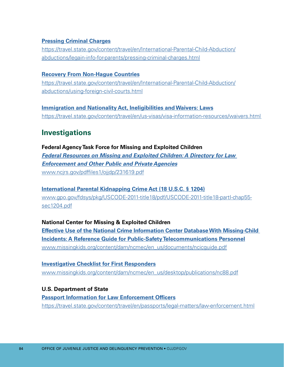#### **[Pressing Criminal Charges](https://travel.state.gov/content/travel/en/International-Parental-Child-Abduction/abductions/legain-info-for-parents/pressing-criminal-charges.html)**

[https://travel.state.gov/content/travel/en/International-Parental-Child-Abduction/](https://travel.state.gov/content/travel/en/International-Parental-Child-Abduction/abductions/legain-info-for-parents/pressing-criminal-charges.html)  [abductions/legain-info-for-parents/pressing-criminal-charges.html](https://travel.state.gov/content/travel/en/International-Parental-Child-Abduction/abductions/legain-info-for-parents/pressing-criminal-charges.html)

#### **[Recovery From Non-Hague Countries](https://travel.state.gov/content/travel/en/International-Parental-Child-Abduction/abductions/using-foreign-civil-courts.html)**

[https://travel.state.gov/content/travel/en/International-Parental-Child-Abduction/](https://travel.state.gov/content/travel/en/International-Parental-Child-Abduction/abductions/using-foreign-civil-courts.html)  [abductions/using-foreign-civil-courts.html](https://travel.state.gov/content/travel/en/International-Parental-Child-Abduction/abductions/using-foreign-civil-courts.html) 

**[Immigration and Nationality Act, Ineligibilities and Waivers: Laws](https://travel.state.gov/content/travel/en/us-visas/visa-information-resources/waivers.html)**  <https://travel.state.gov/content/travel/en/us-visas/visa-information-resources/waivers.html>

### **Investigations**

**Federal Agency Task Force for Missing and Exploited Children**  *[Federal Resources on Missing and Exploited Children: A Directory for Law](http://www.ncjrs.gov/pdffiles1/ojjdp/231619.pdf)  [Enforcement and Other Public and Private Agencies](http://www.ncjrs.gov/pdffiles1/ojjdp/231619.pdf)*  [www.ncjrs.gov/pdffiles1/ojjdp/231619.pdf](http://www.ncjrs.gov/pdffiles1/ojjdp/231619.pdf) 

#### **[International Parental Kidnapping Crime Act \(18 U.S.C. § 1204\)](https://www.gpo.gov/fdsys/pkg/USCODE-2011-title18/pdf/USCODE-2011-title18-partI-chap55-sec1204.pdf)**

[www.gpo.gov/fdsys/pkg/USCODE-2011-title18/pdf/USCODE-2011-title18-partI-chap55](https://www.gpo.gov/fdsys/pkg/USCODE-2011-title18/pdf/USCODE-2011-title18-partI-chap55-sec1204.pdf) [sec1204.pdf](https://www.gpo.gov/fdsys/pkg/USCODE-2011-title18/pdf/USCODE-2011-title18-partI-chap55-sec1204.pdf)

#### **National Center for Missing & Exploited Children**

**[Effective Use of the National Crime Information Center Database With Missing-Child](http://www.missingkids.org/content/dam/ncmec/en_us/documents/ncicguide.pdf)  [Incidents: A Reference Guide for Public-Safety Telecommunications Personnel](http://www.missingkids.org/content/dam/ncmec/en_us/documents/ncicguide.pdf)**  [www.missingkids.org/content/dam/ncmec/en\\_us/documents/ncicguide.pdf](http://www.missingkids.org/content/dam/ncmec/en_us/documents/ncicguide.pdf)

#### **[Investigative Checklist for First Responders](http://www.missingkids.org/content/dam/ncmec/en_us/desktop/publications/nc88.pdf)**  [www.missingkids.org/content/dam/ncmec/en\\_us/desktop/publications/nc88.pdf](http://www.missingkids.org/content/dam/ncmec/en_us/desktop/publications/nc88.pdf)

#### **U.S. Department of State [Passport Information for Law Enforcement Officers](https://travel.state.gov/content/travel/en/passports/legal-matters/law-enforcement.html)**  <https://travel.state.gov/content/travel/en/passports/legal-matters/law-enforcement.html>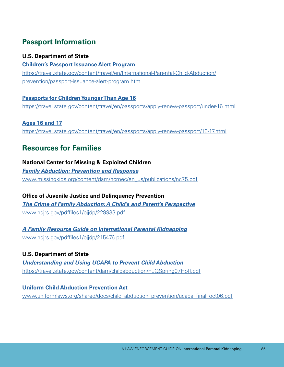## **Passport Information**

#### **U.S. Department of State**

**[Children's Passport Issuance Alert Program](https://travel.state.gov/content/travel/en/International-Parental-Child-Abduction/prevention/passport-issuance-alert-program.html)**  [https://travel.state.gov/content/travel/en/International-Parental-Child-Abduction/](https://travel.state.gov/content/travel/en/International-Parental-Child-Abduction/prevention/passport-issuance-alert-program.html)  [prevention/passport-issuance-alert-program.html](https://travel.state.gov/content/travel/en/International-Parental-Child-Abduction/prevention/passport-issuance-alert-program.html) 

#### **[Passports for Children Younger Than Age 16](https://travel.state.gov/content/travel/en/passports/apply-renew-passport/under-16.html)**

<https://travel.state.gov/content/travel/en/passports/apply-renew-passport/under-16.html>

**[Ages 16 and 17](https://travel.state.gov/content/travel/en/passports/apply-renew-passport/16-17.html)**  <https://travel.state.gov/content/travel/en/passports/apply-renew-passport/16-17.html>

### **Resources for Families**

#### **National Center for Missing & Exploited Children**

*[Family Abduction: Prevention and Response](http://www.missingkids.org/content/dam/ncmec/en_us/publications/nc75.pdf)*  [www.missingkids.org/content/dam/ncmec/en\\_us/publications/nc75.pdf](http://www.missingkids.org/content/dam/ncmec/en_us/publications/nc75.pdf) 

**Office of Juvenile Justice and Delinquency Prevention**  *[The Crime of Family Abduction: A Child's and Parent's Perspective](http://www.ncjrs.gov/pdffiles1/ojjdp/229933.pdf)*  www.ncirs.gov/pdffiles1/ojjdp/229933.pdf

*[A Family Resource Guide on International Parental Kidnapping](http://www.ncjrs.gov/pdffiles1/ojjdp/215476.pdf)*  www.ncirs.gov/pdffiles1/ojjdp/215476.pdf

#### **U.S. Department of State**

*[Understanding and Using UCAPA to Prevent Child Abduction](https://travel.state.gov/content/dam/childabduction/FLQSpring07Hoff.pdf)*  <https://travel.state.gov/content/dam/childabduction/FLQSpring07Hoff.pdf>

**[Uniform Child Abduction Prevention Act](http://www.uniformlaws.org/shared/docs/child_abduction_prevention/ucapa_final_oct06.pdf)**  www.uniformlaws.org/shared/docs/child\_abduction\_prevention/ucapa\_final\_oct06.pdf